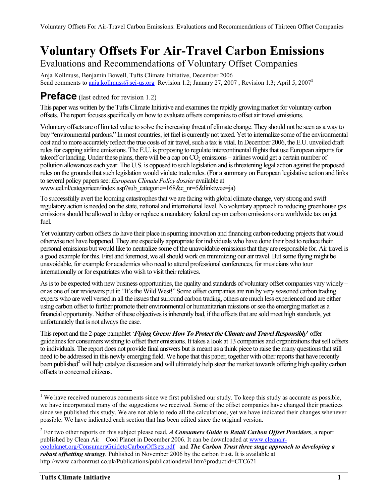# **Voluntary Offsets For Air-Travel Carbon Emissions**

Evaluations and Recommendations of Voluntary Offset Companies

Anja Kollmuss, Benjamin Bowell, Tufts Climate Initiative, December 2006 Send comments to anja.kollmuss@sei-us.org Revision 1.2; January 27, 2007, Revision 1.3; April 5, 2007<sup>1</sup>

## **Preface** (last edited for revision 1.2)

This paper was written by the Tufts Climate Initiative and examines the rapidly growing market for voluntary carbon offsets. The report focuses specifically on how to evaluate offsets companies to offset air travel emissions.

Voluntary offsets are of limited value to solve the increasing threat of climate change. They should not be seen as a way to buy "environmental pardons." In most countries, jet fuel is currently not taxed. Yet to internalize some of the environmental cost and to more accurately reflect the true costs of air travel, such a tax is vital. In December 2006, the E.U. unveiled draft rules for capping airline emissions. The E.U. is proposing to regulate intercontinental flights that use European airports for takeoff or landing. Under these plans, there will be a cap on  $CO<sub>2</sub>$  emissions – airlines would get a certain number of pollution allowances each year. The U.S. is opposed to such legislation and is threatening legal action against the proposed rules on the grounds that such legislation would violate trade rules. (For a summary on European legislative action and links to several policy papers see: *European Climate Policy dossier* available at www.eel.nl/categorieen/index.asp?sub\_categorie=168&c\_nr=5&linktwee=ja)

To successfully avert the looming catastrophes that we are facing with global climate change, very strong and swift regulatory action is needed on the state, national and international level. No voluntary approach to reducing greenhouse gas emissions should be allowed to delay or replace a mandatory federal cap on carbon emissions or a worldwide tax on jet fuel.

Yet voluntary carbon offsets do have their place in spurring innovation and financing carbon-reducing projects that would otherwise not have happened. They are especially appropriate for individuals who have done their best to reduce their personal emissions but would like to neutralize some of the unavoidable emissions that they are responsible for. Air travel is a good example for this. First and foremost, we all should work on minimizing our air travel. But some flying might be unavoidable, for example for academics who need to attend professional conferences, for musicians who tour internationally or for expatriates who wish to visit their relatives.

As is to be expected with new business opportunities, the quality and standards of voluntary offset companies vary widely – or as one of our reviewers put it: "It's the Wild West!" Some offset companies are run by very seasoned carbon trading experts who are well versed in all the issues that surround carbon trading, others are much less experienced and are either using carbon offset to further promote their environmental or humanitarian missions or see the emerging market as a financial opportunity. Neither of these objectives is inherently bad, if the offsets that are sold meet high standards, yet unfortunately that is not always the case.

This report and the 2-page pamphlet '*Flying Green: How To Protect the Climate and Travel Responsibly*' offer guidelines for consumers wishing to offset their emissions. It takes a look at 13 companies and organizations that sell offsets to individuals. The report does not provide final answers but is meant as a think piece to raise the many questions that still need to be addressed in this newly emerging field. We hope that this paper, together with other reports that have recently been published<sup>2</sup> will help catalyze discussion and will ultimately help steer the market towards offering high quality carbon offsets to concerned citizens.

<sup>&</sup>lt;sup>1</sup> We have received numerous comments since we first published our study. To keep this study as accurate as possible, we have incorporated many of the suggestions we received. Some of the offset companies have changed their practices since we published this study. We are not able to redo all the calculations, yet we have indicated their changes whenever possible. We have indicated each section that has been edited since the original version.

<sup>2</sup> For two other reports on this subject please read, *A Consumers Guide to Retail Carbon Offset Providers*, a report published by Clean Air – Cool Planet in December 2006. It can be downloaded at www.cleanaircoolplanet.org/ConsumersGuidetoCarbonOffsets.pdf and *The Carbon Trust three stage approach to developing a robust offsetting strategy.* Published in November 2006 by the carbon trust. It is available at http://www.carbontrust.co.uk/Publications/publicationdetail.htm?productid=CTC621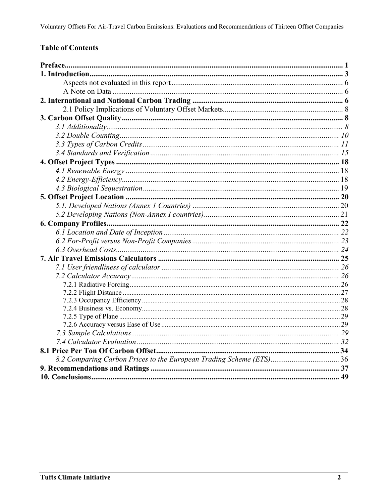## **Table of Contents**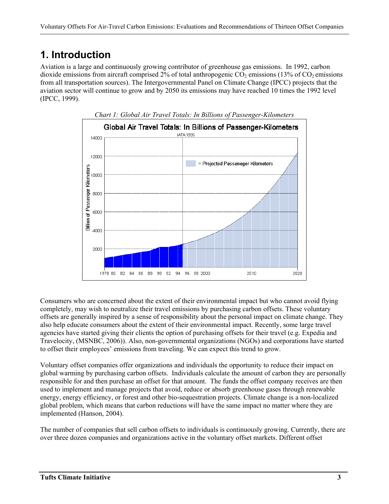## **1. Introduction**

Aviation is a large and continuously growing contributor of greenhouse gas emissions. In 1992, carbon dioxide emissions from aircraft comprised 2% of total anthropogenic CO<sub>2</sub> emissions (13% of CO<sub>2</sub> emissions from all transportation sources). The Intergovernmental Panel on Climate Change (IPCC) projects that the aviation sector will continue to grow and by 2050 its emissions may have reached 10 times the 1992 level (IPCC, 1999).



Consumers who are concerned about the extent of their environmental impact but who cannot avoid flying completely, may wish to neutralize their travel emissions by purchasing carbon offsets. These voluntary offsets are generally inspired by a sense of responsibility about the personal impact on climate change. They also help educate consumers about the extent of their environmental impact. Recently, some large travel agencies have started giving their clients the option of purchasing offsets for their travel (e.g. Expedia and Travelocity, (MSNBC, 2006)). Also, non-governmental organizations (NGOs) and corporations have started to offset their employees' emissions from traveling. We can expect this trend to grow.

Voluntary offset companies offer organizations and individuals the opportunity to reduce their impact on global warming by purchasing carbon offsets. Individuals calculate the amount of carbon they are personally responsible for and then purchase an offset for that amount. The funds the offset company receives are then used to implement and manage projects that avoid, reduce or absorb greenhouse gases through renewable energy, energy efficiency, or forest and other bio-sequestration projects. Climate change is a non-localized global problem, which means that carbon reductions will have the same impact no matter where they are implemented (Hanson, 2004).

The number of companies that sell carbon offsets to individuals is continuously growing. Currently, there are over three dozen companies and organizations active in the voluntary offset markets. Different offset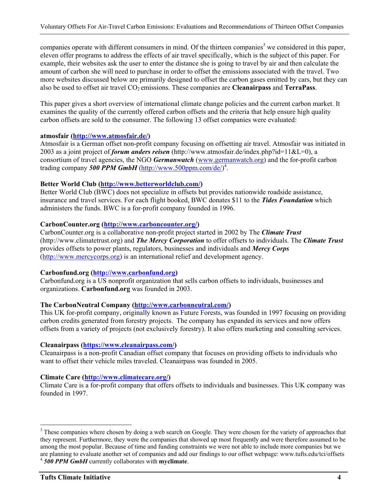companies operate with different consumers in mind. Of the thirteen companies<sup>3</sup> we considered in this paper, eleven offer programs to address the effects of air travel specifically, which is the subject of this paper. For example, their websites ask the user to enter the distance she is going to travel by air and then calculate the amount of carbon she will need to purchase in order to offset the emissions associated with the travel. Two more websites discussed below are primarily designed to offset the carbon gases emitted by cars, but they can also be used to offset air travel CO2 emissions. These companies are **Cleanairpass** and **TerraPass**.

This paper gives a short overview of international climate change policies and the current carbon market. It examines the quality of the currently offered carbon offsets and the criteria that help ensure high quality carbon offsets are sold to the consumer. The following 13 offset companies were evaluated:

### **atmosfair (http://www.atmosfair.de/)**

Atmosfair is a German offset non-profit company focusing on offsetting air travel. Atmosfair was initiated in 2003 as a joint project of *forum anders reisen* (http://www.atmosfair.de/index.php?id=11&L=0), a consortium of travel agencies, the NGO *Germanwatch* (www.germanwatch.org) and the for-profit carbon trading company 500 PPM GmbH (http://www.500ppm.com/de/)<sup>4</sup>.

### **Better World Club (http://www.betterworldclub.com/)**

Better World Club (BWC) does not specialize in offsets but provides nationwide roadside assistance, insurance and travel services. For each flight booked, BWC donates \$11 to the *Tides Foundation* which administers the funds. BWC is a for-profit company founded in 1996.

### **CarbonCounter.org (http://www.carboncounter.org/)**

CarbonCounter.org is a collaborative non-profit project started in 2002 by The *Climate Trust* (http://www.climatetrust.org) and *The Mercy Corporation* to offer offsets to individuals. The *Climate Trust* provides offsets to power plants, regulators, businesses and individuals and *Mercy Corps* (http://www.mercycorps.org) is an international relief and development agency.

#### **Carbonfund.org (http://www.carbonfund.org)**

Carbonfund.org is a US nonprofit organization that sells carbon offsets to individuals, businesses and organizations. **Carbonfund.org** was founded in 2003.

### **The CarbonNeutral Company (http://www.carbonneutral.com/)**

This UK for-profit company, originally known as Future Forests, was founded in 1997 focusing on providing carbon credits generated from forestry projects. The company has expanded its services and now offers offsets from a variety of projects (not exclusively forestry). It also offers marketing and consulting services.

### **Cleanairpass (https://www.cleanairpass.com/)**

Cleanairpass is a non-profit Canadian offset company that focuses on providing offsets to individuals who want to offset their vehicle miles traveled. Cleanairpass was founded in 2005.

### **Climate Care (http://www.climatecare.org/)**

Climate Care is a for-profit company that offers offsets to individuals and businesses. This UK company was founded in 1997.

<u>.</u>

<sup>&</sup>lt;sup>3</sup> These companies where chosen by doing a web search on Google. They were chosen for the variety of approaches that they represent. Furthermore, they were the companies that showed up most frequently and were therefore assumed to be among the most popular. Because of time and funding constraints we were not able to include more companies but we are planning to evaluate another set of companies and add our findings to our offset webpage: www.tufts.edu/tci/offsets 4 *500 PPM GmbH* currently collaborates with **myclimate**.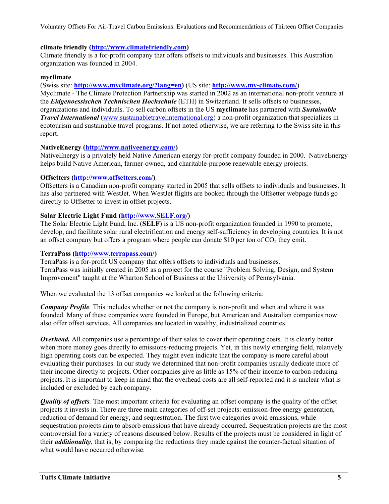#### **climate friendly (http://www.climatefriendly.com)**

Climate friendly is a for-profit company that offers offsets to individuals and businesses. This Australian organization was founded in 2004.

#### **myclimate**

(Swiss site: **http://www.myclimate.org/?lang=en)** (US site: **http://www.my-climate.com/**)

Myclimate - The Climate Protection Partnership was started in 2002 as an international non-profit venture at the *Eidgenoessischen Technischen Hochschule* (ETH) in Switzerland. It sells offsets to businesses, organizations and individuals. To sell carbon offsets in the US **myclimate** has partnered with *Sustainable Travel International* (www.sustainabletravelinternational.org) a non-profit organization that specializes in ecotourism and sustainable travel programs. If not noted otherwise, we are referring to the Swiss site in this report.

#### **NativeEnergy (http://www.nativeenergy.com/)**

NativeEnergy is a privately held Native American energy for-profit company founded in 2000. NativeEnergy helps build Native American, farmer-owned, and charitable-purpose renewable energy projects.

#### **Offsetters (http://www.offsetters.com/)**

Offsetters is a Canadian non-profit company started in 2005 that sells offsets to individuals and businesses. It has also partnered with WestJet. When WestJet flights are booked through the Offsetter webpage funds go directly to Offsetter to invest in offset projects.

#### **Solar Electric Light Fund (http://www.SELF.org/)**

The Solar Electric Light Fund, Inc. (**SELF**) is a US non-profit organization founded in 1990 to promote, develop, and facilitate solar rural electrification and energy self-sufficiency in developing countries. It is not an offset company but offers a program where people can donate \$10 per ton of  $CO<sub>2</sub>$  they emit.

#### **TerraPass (http://www.terrapass.com/)**

TerraPass is a for-profit US company that offers offsets to individuals and businesses. TerraPass was initially created in 2005 as a project for the course "Problem Solving, Design, and System Improvement" taught at the Wharton School of Business at the University of Pennsylvania.

When we evaluated the 13 offset companies we looked at the following criteria:

*Company Profile*. This includes whether or not the company is non-profit and when and where it was founded. Many of these companies were founded in Europe, but American and Australian companies now also offer offset services. All companies are located in wealthy, industrialized countries.

*Overhead.* All companies use a percentage of their sales to cover their operating costs. It is clearly better when more money goes directly to emissions-reducing projects. Yet, in this newly emerging field, relatively high operating costs can be expected. They might even indicate that the company is more careful about evaluating their purchases. In our study we determined that non-profit companies usually dedicate more of their income directly to projects. Other companies give as little as 15% of their income to carbon-reducing projects. It is important to keep in mind that the overhead costs are all self-reported and it is unclear what is included or excluded by each company.

*Quality of offsets.* The most important criteria for evaluating an offset company is the quality of the offset projects it invests in. There are three main categories of off-set projects: emission-free energy generation, reduction of demand for energy, and sequestration. The first two categories avoid emissions, while sequestration projects aim to absorb emissions that have already occurred. Sequestration projects are the most controversial for a variety of reasons discussed below. Results of the projects must be considered in light of their *additionality*, that is, by comparing the reductions they made against the counter-factual situation of what would have occurred otherwise.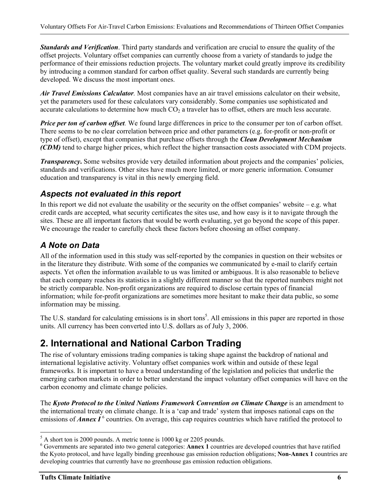*Standards and Verification*. Third party standards and verification are crucial to ensure the quality of the offset projects. Voluntary offset companies can currently choose from a variety of standards to judge the performance of their emissions reduction projects. The voluntary market could greatly improve its credibility by introducing a common standard for carbon offset quality. Several such standards are currently being developed. We discuss the most important ones.

*Air Travel Emissions Calculator.* Most companies have an air travel emissions calculator on their website, yet the parameters used for these calculators vary considerably. Some companies use sophisticated and accurate calculations to determine how much  $CO<sub>2</sub>$  a traveler has to offset, others are much less accurate.

*Price per ton of carbon offset.* We found large differences in price to the consumer per ton of carbon offset. There seems to be no clear correlation between price and other parameters (e.g. for-profit or non-profit or type of offset), except that companies that purchase offsets through the *Clean Development Mechanism (CDM)* tend to charge higher prices, which reflect the higher transaction costs associated with CDM projects.

*Transparency***.** Some websites provide very detailed information about projects and the companies' policies, standards and verifications. Other sites have much more limited, or more generic information. Consumer education and transparency is vital in this newly emerging field.

## *Aspects not evaluated in this report*

In this report we did not evaluate the usability or the security on the offset companies' website – e.g. what credit cards are accepted, what security certificates the sites use, and how easy is it to navigate through the sites. These are all important factors that would be worth evaluating, yet go beyond the scope of this paper. We encourage the reader to carefully check these factors before choosing an offset company.

## *A Note on Data*

All of the information used in this study was self-reported by the companies in question on their websites or in the literature they distribute. With some of the companies we communicated by e-mail to clarify certain aspects. Yet often the information available to us was limited or ambiguous. It is also reasonable to believe that each company reaches its statistics in a slightly different manner so that the reported numbers might not be strictly comparable. Non-profit organizations are required to disclose certain types of financial information; while for-profit organizations are sometimes more hesitant to make their data public, so some information may be missing.

The U.S. standard for calculating emissions is in short tons<sup>5</sup>. All emissions in this paper are reported in those units. All currency has been converted into U.S. dollars as of July 3, 2006.

## **2. International and National Carbon Trading**

The rise of voluntary emissions trading companies is taking shape against the backdrop of national and international legislative activity. Voluntary offset companies work within and outside of these legal frameworks. It is important to have a broad understanding of the legislation and policies that underlie the emerging carbon markets in order to better understand the impact voluntary offset companies will have on the carbon economy and climate change policies.

The *Kyoto Protocol to the United Nations Framework Convention on Climate Change* is an amendment to the international treaty on climate change. It is a 'cap and trade' system that imposes national caps on the emissions of *Annex I*<sup>6</sup> countries. On average, this cap requires countries which have ratified the protocol to

 $\frac{5}{6}$  A short ton is 2000 pounds. A metric tonne is 1000 kg or 2205 pounds.

<sup>6</sup> Governments are separated into two general categories: **Annex 1** countries are developed countries that have ratified the Kyoto protocol, and have legally binding greenhouse gas emission reduction obligations; **Non-Annex 1** countries are developing countries that currently have no greenhouse gas emission reduction obligations.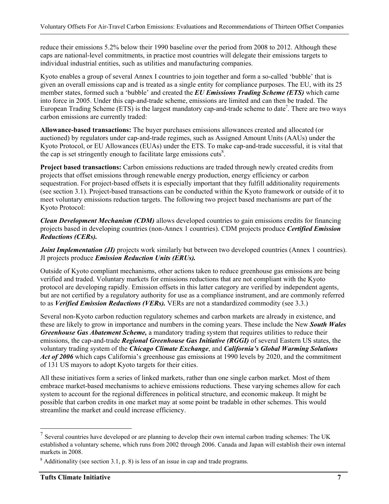reduce their emissions 5.2% below their 1990 baseline over the period from 2008 to 2012. Although these caps are national-level commitments, in practice most countries will delegate their emissions targets to individual industrial entities, such as utilities and manufacturing companies.

Kyoto enables a group of several Annex I countries to join together and form a so-called 'bubble' that is given an overall emissions cap and is treated as a single entity for compliance purposes. The EU, with its 25 member states, formed such a 'bubble' and created the *EU Emissions Trading Scheme (ETS)* which came into force in 2005. Under this cap-and-trade scheme, emissions are limited and can then be traded. The European Trading Scheme (ETS) is the largest mandatory cap-and-trade scheme to date<sup>7</sup>. There are two ways carbon emissions are currently traded:

**Allowance-based transactions:** The buyer purchases emissions allowances created and allocated (or auctioned) by regulators under cap-and-trade regimes, such as Assigned Amount Units (AAUs) under the Kyoto Protocol, or EU Allowances (EUAs) under the ETS. To make cap-and-trade successful, it is vital that the cap is set stringently enough to facilitate large emissions cuts<sup>8</sup>.

**Project based transactions:** Carbon emissions reductions are traded through newly created credits from projects that offset emissions through renewable energy production, energy efficiency or carbon sequestration. For project-based offsets it is especially important that they fulfill additionality requirements (see section 3.1). Project-based transactions can be conducted within the Kyoto framework or outside of it to meet voluntary emissions reduction targets. The following two project based mechanisms are part of the Kyoto Protocol:

*Clean Development Mechanism (CDM)* allows developed countries to gain emissions credits for financing projects based in developing countries (non-Annex 1 countries). CDM projects produce *Certified Emission Reductions (CERs).*

*Joint Implementation (JI)* projects work similarly but between two developed countries (Annex 1 countries). JI projects produce *Emission Reduction Units (ERUs).* 

Outside of Kyoto compliant mechanisms, other actions taken to reduce greenhouse gas emissions are being verified and traded. Voluntary markets for emissions reductions that are not compliant with the Kyoto protocol are developing rapidly. Emission offsets in this latter category are verified by independent agents, but are not certified by a regulatory authority for use as a compliance instrument, and are commonly referred to as *Verified Emission Reductions (VERs).* VERs are not a standardized commodity (see 3.3.)

Several non-Kyoto carbon reduction regulatory schemes and carbon markets are already in existence, and these are likely to grow in importance and numbers in the coming years. These include the New *South Wales Greenhouse Gas Abatement Scheme,* a mandatory trading system that requires utilities to reduce their emissions, the cap-and-trade *Regional Greenhouse Gas Initiative (RGGI)* of several Eastern US states, the voluntary trading system of the *Chicago Climate Exchange*, and *California's Global Warming Solutions Act of 2006* which caps California's greenhouse gas emissions at 1990 levels by 2020, and the commitment of 131 US mayors to adopt Kyoto targets for their cities.

All these initiatives form a series of linked markets, rather than one single carbon market. Most of them embrace market-based mechanisms to achieve emissions reductions. These varying schemes allow for each system to account for the regional differences in political structure, and economic makeup. It might be possible that carbon credits in one market may at some point be tradable in other schemes. This would streamline the market and could increase efficiency.

 $<sup>7</sup>$  Several countries have developed or are planning to develop their own internal carbon trading schemes: The UK</sup> established a voluntary scheme, which runs from 2002 through 2006. Canada and Japan will establish their own internal markets in 2008.

 $8$  Additionality (see section 3.1, p. 8) is less of an issue in cap and trade programs.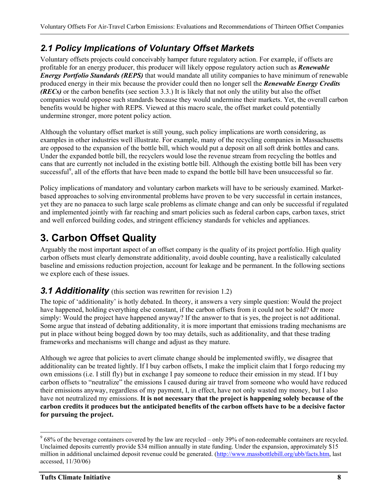## *2.1 Policy Implications of Voluntary Offset Markets*

Voluntary offsets projects could conceivably hamper future regulatory action. For example, if offsets are profitable for an energy producer, this producer will likely oppose regulatory action such as *Renewable Energy Portfolio Standards (REPS)* that would mandate all utility companies to have minimum of renewable produced energy in their mix because the provider could then no longer sell the *Renewable Energy Credits (RECs)* or the carbon benefits (see section 3.3.) It is likely that not only the utility but also the offset companies would oppose such standards because they would undermine their markets. Yet, the overall carbon benefits would be higher with REPS. Viewed at this macro scale, the offset market could potentially undermine stronger, more potent policy action.

Although the voluntary offset market is still young, such policy implications are worth considering, as examples in other industries well illustrate. For example, many of the recycling companies in Massachusetts are opposed to the expansion of the bottle bill, which would put a deposit on all soft drink bottles and cans. Under the expanded bottle bill, the recyclers would lose the revenue stream from recycling the bottles and cans that are currently not included in the existing bottle bill. Although the existing bottle bill has been very successful<sup>9</sup>, all of the efforts that have been made to expand the bottle bill have been unsuccessful so far.

Policy implications of mandatory and voluntary carbon markets will have to be seriously examined. Marketbased approaches to solving environmental problems have proven to be very successful in certain instances, yet they are no panacea to such large scale problems as climate change and can only be successful if regulated and implemented jointly with far reaching and smart policies such as federal carbon caps, carbon taxes, strict and well enforced building codes, and stringent efficiency standards for vehicles and appliances.

## **3. Carbon Offset Quality**

Arguably the most important aspect of an offset company is the quality of its project portfolio. High quality carbon offsets must clearly demonstrate additionality, avoid double counting, have a realistically calculated baseline and emissions reduction projection, account for leakage and be permanent. In the following sections we explore each of these issues.

## **3.1 Additionality** (this section was rewritten for revision 1.2)

The topic of 'additionality' is hotly debated. In theory, it answers a very simple question: Would the project have happened, holding everything else constant, if the carbon offsets from it could not be sold? Or more simply: Would the project have happened anyway? If the answer to that is yes, the project is not additional. Some argue that instead of debating additionality, it is more important that emissions trading mechanisms are put in place without being bogged down by too may details, such as additionality, and that these trading frameworks and mechanisms will change and adjust as they mature.

Although we agree that policies to avert climate change should be implemented swiftly, we disagree that additionality can be treated lightly. If I buy carbon offsets, I make the implicit claim that I forgo reducing my own emissions (i.e. I still fly) but in exchange I pay someone to reduce their emission in my stead. If I buy carbon offsets to "neutralize" the emissions I caused during air travel from someone who would have reduced their emissions anyway, regardless of my payment, I, in effect, have not only wasted my money, but I also have not neutralized my emissions. **It is not necessary that the project is happening solely because of the carbon credits it produces but the anticipated benefits of the carbon offsets have to be a decisive factor for pursuing the project.** 

 $\frac{9}{68\%}$  of the beverage containers covered by the law are recycled – only 39% of non-redeemable containers are recycled. Unclaimed deposits currently provide \$34 million annually in state funding. Under the expansion, approximately \$15 million in additional unclaimed deposit revenue could be generated. (http://www.massbottlebill.org/ubb/facts.htm, last accessed, 11/30/06)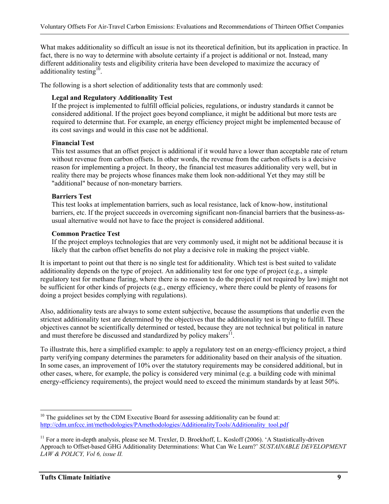What makes additionality so difficult an issue is not its theoretical definition, but its application in practice. In fact, there is no way to determine with absolute certainty if a project is additional or not. Instead, many different additionality tests and eligibility criteria have been developed to maximize the accuracy of additionality testing<sup>10</sup>.

The following is a short selection of additionality tests that are commonly used:

### **Legal and Regulatory Additionality Test**

If the project is implemented to fulfill official policies, regulations, or industry standards it cannot be considered additional. If the project goes beyond compliance, it might be additional but more tests are required to determine that. For example, an energy efficiency project might be implemented because of its cost savings and would in this case not be additional.

### **Financial Test**

This test assumes that an offset project is additional if it would have a lower than acceptable rate of return without revenue from carbon offsets. In other words, the revenue from the carbon offsets is a decisive reason for implementing a project. In theory, the financial test measures additionality very well, but in reality there may be projects whose finances make them look non-additional Yet they may still be "additional" because of non-monetary barriers.

### **Barriers Test**

This test looks at implementation barriers, such as local resistance, lack of know-how, institutional barriers, etc. If the project succeeds in overcoming significant non-financial barriers that the business-asusual alternative would not have to face the project is considered additional.

### **Common Practice Test**

If the project employs technologies that are very commonly used, it might not be additional because it is likely that the carbon offset benefits do not play a decisive role in making the project viable.

It is important to point out that there is no single test for additionality. Which test is best suited to validate additionality depends on the type of project. An additionality test for one type of project (e.g., a simple regulatory test for methane flaring, where there is no reason to do the project if not required by law) might not be sufficient for other kinds of projects (e.g., energy efficiency, where there could be plenty of reasons for doing a project besides complying with regulations).

Also, additionality tests are always to some extent subjective, because the assumptions that underlie even the strictest additionality test are determined by the objectives that the additionality test is trying to fulfill. These objectives cannot be scientifically determined or tested, because they are not technical but political in nature and must therefore be discussed and standardized by policy makers<sup>11</sup>

To illustrate this, here a simplified example: to apply a regulatory test on an energy-efficiency project, a third party verifying company determines the parameters for additionality based on their analysis of the situation. In some cases, an improvement of 10% over the statutory requirements may be considered additional, but in other cases, where, for example, the policy is considered very minimal (e.g. a building code with minimal energy-efficiency requirements), the project would need to exceed the minimum standards by at least 50%.

 $10$  The guidelines set by the CDM Executive Board for assessing additionality can be found at: http://cdm.unfccc.int/methodologies/PAmethodologies/AdditionalityTools/Additionality\_tool.pdf

<sup>&</sup>lt;sup>11</sup> For a more in-depth analysis, please see M. Trexler, D. Broekhoff, L. Kosloff (2006). 'A Stastistically-driven Approach to Offset-based GHG Additionality Determinations: What Can We Learn?' *SUSTAINABLE DEVELOPMENT LAW & POLICY, Vol 6, issue II.*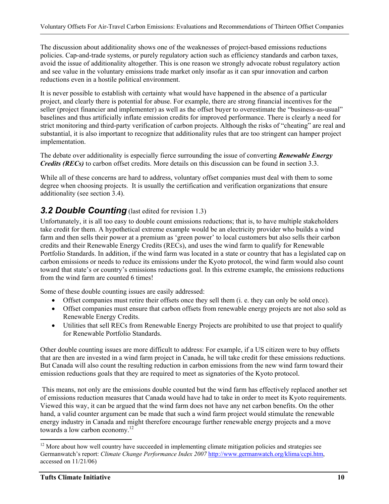The discussion about additionality shows one of the weaknesses of project-based emissions reductions policies. Cap-and-trade systems, or purely regulatory action such as efficiency standards and carbon taxes, avoid the issue of additionality altogether. This is one reason we strongly advocate robust regulatory action and see value in the voluntary emissions trade market only insofar as it can spur innovation and carbon reductions even in a hostile political environment.

It is never possible to establish with certainty what would have happened in the absence of a particular project, and clearly there is potential for abuse. For example, there are strong financial incentives for the seller (project financier and implementer) as well as the offset buyer to overestimate the "business-as-usual" baselines and thus artificially inflate emission credits for improved performance. There is clearly a need for strict monitoring and third-party verification of carbon projects. Although the risks of "cheating" are real and substantial, it is also important to recognize that additionality rules that are too stringent can hamper project implementation.

The debate over additionality is especially fierce surrounding the issue of converting *Renewable Energy Credits (RECs)* to carbon offset credits. More details on this discussion can be found in section 3.3.

While all of these concerns are hard to address, voluntary offset companies must deal with them to some degree when choosing projects. It is usually the certification and verification organizations that ensure additionality (see section 3.4).

## **3.2 Double Counting** (last edited for revision 1.3)

Unfortunately, it is all too easy to double count emissions reductions; that is, to have multiple stakeholders take credit for them. A hypothetical extreme example would be an electricity provider who builds a wind farm and then sells their power at a premium as 'green power' to local customers but also sells their carbon credits and their Renewable Energy Credits (RECs), and uses the wind farm to qualify for Renewable Portfolio Standards. In addition, if the wind farm was located in a state or country that has a legislated cap on carbon emissions or needs to reduce its emissions under the Kyoto protocol, the wind farm would also count toward that state's or country's emissions reductions goal. In this extreme example, the emissions reductions from the wind farm are counted 6 times!

Some of these double counting issues are easily addressed:

- Offset companies must retire their offsets once they sell them (i. e. they can only be sold once).
- Offset companies must ensure that carbon offsets from renewable energy projects are not also sold as Renewable Energy Credits.
- Utilities that sell RECs from Renewable Energy Projects are prohibited to use that project to qualify for Renewable Portfolio Standards.

Other double counting issues are more difficult to address: For example, if a US citizen were to buy offsets that are then are invested in a wind farm project in Canada, he will take credit for these emissions reductions. But Canada will also count the resulting reduction in carbon emissions from the new wind farm toward their emission reductions goals that they are required to meet as signatories of the Kyoto protocol.

 This means, not only are the emissions double counted but the wind farm has effectively replaced another set of emissions reduction measures that Canada would have had to take in order to meet its Kyoto requirements. Viewed this way, it can be argued that the wind farm does not have any net carbon benefits. On the other hand, a valid counter argument can be made that such a wind farm project would stimulate the renewable energy industry in Canada and might therefore encourage further renewable energy projects and a move towards a low carbon economy.<sup>12</sup>

 $12$  More about how well country have succeeded in implementing climate mitigation policies and strategies see Germanwatch's report: *Climate Change Performance Index 2007* http://www.germanwatch.org/klima/ccpi.htm, accessed on 11/21/06)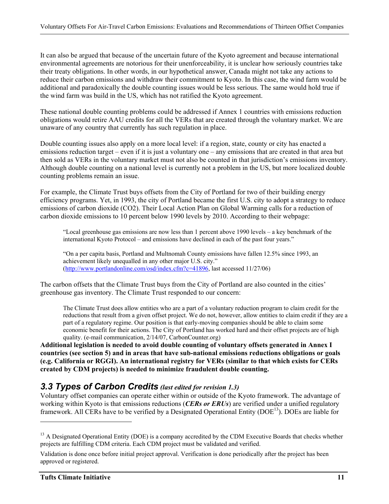It can also be argued that because of the uncertain future of the Kyoto agreement and because international environmental agreements are notorious for their unenforceability, it is unclear how seriously countries take their treaty obligations. In other words, in our hypothetical answer, Canada might not take any actions to reduce their carbon emissions and withdraw their commitment to Kyoto. In this case, the wind farm would be additional and paradoxically the double counting issues would be less serious. The same would hold true if the wind farm was build in the US, which has not ratified the Kyoto agreement.

These national double counting problems could be addressed if Annex 1 countries with emissions reduction obligations would retire AAU credits for all the VERs that are created through the voluntary market. We are unaware of any country that currently has such regulation in place.

Double counting issues also apply on a more local level: if a region, state, county or city has enacted a emissions reduction target – even if it is just a voluntary one – any emissions that are created in that area but then sold as VERs in the voluntary market must not also be counted in that jurisdiction's emissions inventory. Although double counting on a national level is currently not a problem in the US, but more localized double counting problems remain an issue.

For example, the Climate Trust buys offsets from the City of Portland for two of their building energy efficiency programs. Yet, in 1993, the city of Portland became the first U.S. city to adopt a strategy to reduce emissions of carbon dioxide (CO2). Their Local Action Plan on Global Warming calls for a reduction of carbon dioxide emissions to 10 percent below 1990 levels by 2010. According to their webpage:

"Local greenhouse gas emissions are now less than 1 percent above 1990 levels – a key benchmark of the international Kyoto Protocol – and emissions have declined in each of the past four years."

"On a per capita basis, Portland and Multnomah County emissions have fallen 12.5% since 1993, an achievement likely unequalled in any other major U.S. city." (http://www.portlandonline.com/osd/index.cfm?c=41896, last accessed 11/27/06)

The carbon offsets that the Climate Trust buys from the City of Portland are also counted in the cities' greenhouse gas inventory. The Climate Trust responded to our concern:

The Climate Trust does allow entities who are a part of a voluntary reduction program to claim credit for the reductions that result from a given offset project. We do not, however, allow entities to claim credit if they are a part of a regulatory regime. Our position is that early-moving companies should be able to claim some economic benefit for their actions. The City of Portland has worked hard and their offset projects are of high quality. (e-mail communication, 2/14/07, CarbonCounter.org)

**Additional legislation is needed to avoid double counting of voluntary offsets generated in Annex I countries (see section 5) and in areas that have sub-national emissions reductions obligations or goals (e.g. California or RGGI). An international registry for VERs (similar to that which exists for CERs created by CDM projects) is needed to minimize fraudulent double counting.** 

## *3.3 Types of Carbon Credits (last edited for revision 1.3)*

Voluntary offset companies can operate either within or outside of the Kyoto framework. The advantage of working within Kyoto is that emissions reductions (*CERs or ERUs*) are verified under a unified regulatory framework. All CERs have to be verified by a Designated Operational Entity (DOE<sup>13</sup>). DOEs are liable for

 $<sup>13</sup>$  A Designated Operational Entity (DOE) is a company accredited by the CDM Executive Boards that checks whether</sup> projects are fulfilling CDM criteria. Each CDM project must be validated and verified.

Validation is done once before initial project approval. Verification is done periodically after the project has been approved or registered.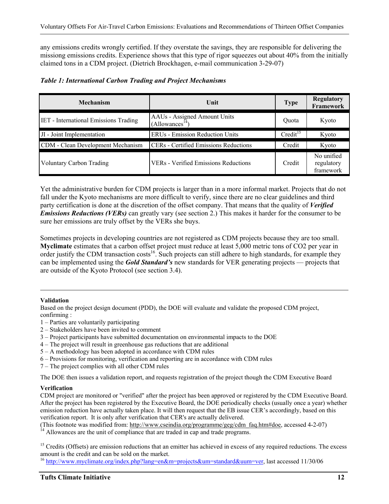any emissions credits wrongly certified. If they overstate the savings, they are responsible for delivering the missiong emissions credits. Experience shows that this type of rigor squeezes out about 40% from the initially claimed tons in a CDM project. (Dietrich Brockhagen, e-mail communication 3-29-07)

| <b>Mechanism</b>                             | Unit                                                        | <b>Type</b>          | <b>Regulatory</b><br>Framework        |
|----------------------------------------------|-------------------------------------------------------------|----------------------|---------------------------------------|
| <b>IET</b> - International Emissions Trading | AAUs - Assigned Amount Units<br>(Allowances <sup>14</sup> ) | Ouota                | Kyoto                                 |
| JI - Joint Implementation                    | ERUs - Emission Reduction Units                             | Credit <sup>15</sup> | Kyoto                                 |
| CDM - Clean Development Mechanism            | <b>CERs</b> - Certified Emissions Reductions                | Credit               | Kyoto                                 |
| <b>Voluntary Carbon Trading</b>              | <b>VERs</b> - Verified Emissions Reductions                 | Credit               | No unified<br>regulatory<br>framework |

### *Table 1: International Carbon Trading and Project Mechanisms*

Yet the administrative burden for CDM projects is larger than in a more informal market. Projects that do not fall under the Kyoto mechanisms are more difficult to verify, since there are no clear guidelines and third party certification is done at the discretion of the offset company. That means that the quality of *Verified Emissions Reductions (VERs)* can greatly vary (see section 2.) This makes it harder for the consumer to be sure her emissions are truly offset by the VERs she buys.

Sometimes projects in developing countries are not registered as CDM projects because they are too small. **Myclimate** estimates that a carbon offset project must reduce at least 5,000 metric tons of CO2 per year in order justify the CDM transaction costs<sup>16</sup>. Such projects can still adhere to high standards, for example they can be implemented using the *Gold Standard's* new standards for VER generating projects — projects that are outside of the Kyoto Protocol (see section 3.4).

#### **Validation**

1

Based on the project design document (PDD), the DOE will evaluate and validate the proposed CDM project, confirming :

- 1 Parties are voluntarily participating
- 2 Stakeholders have been invited to comment
- 3 Project participants have submitted documentation on environmental impacts to the DOE
- 4 The project will result in greenhouse gas reductions that are additional
- 5 A methodology has been adopted in accordance with CDM rules
- 6 Provisions for monitoring, verification and reporting are in accordance with CDM rules
- 7 The project complies with all other CDM rules

The DOE then issues a validation report, and requests registration of the project though the CDM Executive Board

#### **Verification**

CDM project are monitored or "verified" after the project has been approved or registered by the CDM Executive Board. After the project has been registered by the Executive Board, the DOE periodically checks (usually once a year) whether emission reduction have actually taken place. It will then request that the EB issue CER's accordingly, based on this verification report. It is only after verification that CER's are actually delivered.<br>(This footnote was modified from: http://www.cseindia.org/programme/geg/cdm faq.htm#doe. accessed 4-2-07)

 $\hat{I}^4$  Allowances are the unit of compliance that are traded in cap and trade programs.

 $<sup>15</sup>$  Credits (Offsets) are emission reductions that an emitter has achieved in excess of any required reductions. The excess</sup> amount is the credit and can be sold on the market.

<sup>16</sup> http://www.myclimate.org/index.php?lang=en&m=projects&um=standard&uum=ver, last accessed 11/30/06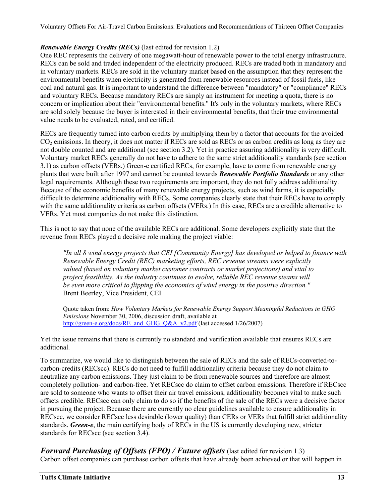### *Renewable Energy Credits (RECs)* (last edited for revision 1.2)

One REC represents the delivery of one megawatt-hour of renewable power to the total energy infrastructure. RECs can be sold and traded independent of the electricity produced. RECs are traded both in mandatory and in voluntary markets. RECs are sold in the voluntary market based on the assumption that they represent the environmental benefits when electricity is generated from renewable resources instead of fossil fuels, like coal and natural gas. It is important to understand the difference between "mandatory" or "compliance" RECs and voluntary RECs. Because mandatory RECs are simply an instrument for meeting a quota, there is no concern or implication about their "environmental benefits." It's only in the voluntary markets, where RECs are sold solely because the buyer is interested in their environmental benefits, that their true environmental value needs to be evaluated, rated, and certified.

RECs are frequently turned into carbon credits by multiplying them by a factor that accounts for the avoided CO2 emissions. In theory, it does not matter if RECs are sold as RECs or as carbon credits as long as they are not double counted and are additional (see section 3.2). Yet in practice assuring additionality is very difficult. Voluntary market RECs generally do not have to adhere to the same strict additionality standards (see section 3.1) as carbon offsets (VERs.) Green-e certified RECs, for example, have to come from renewable energy plants that were built after 1997 and cannot be counted towards *Renewable Portfolio Standards* or any other legal requirements. Although these two requirements are important, they do not fully address additionality. Because of the economic benefits of many renewable energy projects, such as wind farms, it is especially difficult to determine additionality with RECs. Some companies clearly state that their RECs have to comply with the same additionality criteria as carbon offsets (VERs.) In this case, RECs are a credible alternative to VERs. Yet most companies do not make this distinction.

This is not to say that none of the available RECs are additional. Some developers explicitly state that the revenue from RECs played a decisive role making the project viable:

*"In all 8 wind energy projects that CEI [Community Energy] has developed or helped to finance with Renewable Energy Credit (REC) marketing efforts, REC revenue streams were explicitly valued (based on voluntary market customer contracts or market projections) and vital to project feasibility. As the industry continues to evolve, reliable REC revenue steams will be even more critical to flipping the economics of wind energy in the positive direction."* Brent Beerley, Vice President, CEI

Quote taken from: *How Voluntary Markets for Renewable Energy Support Meaningful Reductions in GHG Emissions* November 30, 2006, discussion draft, available at http://green-e.org/docs/RE\_and\_GHG\_Q&A\_v2.pdf (last accessed 1/26/2007)

Yet the issue remains that there is currently no standard and verification available that ensures RECs are additional.

To summarize, we would like to distinguish between the sale of RECs and the sale of RECs-converted-tocarbon-credits (RECscc). RECs do not need to fulfill additionality criteria because they do not claim to neutralize any carbon emissions. They just claim to be from renewable sources and therefore are almost completely pollution- and carbon-free. Yet RECscc do claim to offset carbon emissions. Therefore if RECscc are sold to someone who wants to offset their air travel emissions, additionality becomes vital to make such offsets credible. RECscc can only claim to do so if the benefits of the sale of the RECs were a decisive factor in pursuing the project. Because there are currently no clear guidelines available to ensure additionality in RECscc, we consider RECscc less desirable (lower quality) than CERs or VERs that fulfill strict additionality standards. *Green-e*, the main certifying body of RECs in the US is currently developing new, stricter standards for RECscc (see section 3.4).

*Forward Purchasing of Offsets (FPO) / Future offsets (last edited for revision 1.3)* Carbon offset companies can purchase carbon offsets that have already been achieved or that will happen in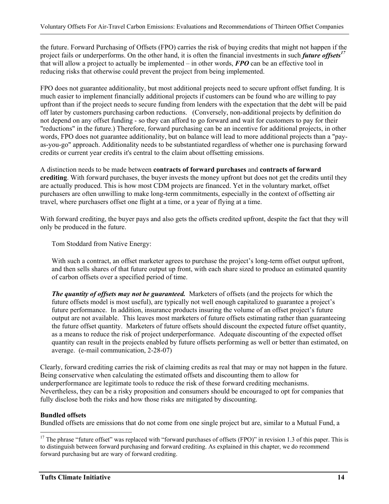the future. Forward Purchasing of Offsets (FPO) carries the risk of buying credits that might not happen if the project fails or underperforms. On the other hand, it is often the financial investments in such *future offsets<sup>17</sup>* that will allow a project to actually be implemented – in other words, *FPO* can be an effective tool in reducing risks that otherwise could prevent the project from being implemented.

FPO does not guarantee additionality, but most additional projects need to secure upfront offset funding. It is much easier to implement financially additional projects if customers can be found who are willing to pay upfront than if the project needs to secure funding from lenders with the expectation that the debt will be paid off later by customers purchasing carbon reductions. (Conversely, non-additional projects by definition do not depend on any offset funding - so they can afford to go forward and wait for customers to pay for their "reductions" in the future.) Therefore, forward purchasing can be an incentive for additional projects, in other words, FPO does not guarantee additionality, but on balance will lead to more additional projects than a "payas-you-go" approach. Additionality needs to be substantiated regardless of whether one is purchasing forward credits or current year credits it's central to the claim about offsetting emissions.

A distinction needs to be made between **contracts of forward purchases** and **contracts of forward crediting**. With forward purchases, the buyer invests the money upfront but does not get the credits until they are actually produced. This is how most CDM projects are financed. Yet in the voluntary market, offset purchasers are often unwilling to make long-term commitments, especially in the context of offsetting air travel, where purchasers offset one flight at a time, or a year of flying at a time.

With forward crediting, the buyer pays and also gets the offsets credited upfront, despite the fact that they will only be produced in the future.

Tom Stoddard from Native Energy:

With such a contract, an offset marketer agrees to purchase the project's long-term offset output upfront, and then sells shares of that future output up front, with each share sized to produce an estimated quantity of carbon offsets over a specified period of time.

*The quantity of offsets may not be guaranteed.* Marketers of offsets (and the projects for which the future offsets model is most useful), are typically not well enough capitalized to guarantee a project's future performance. In addition, insurance products insuring the volume of an offset project's future output are not available. This leaves most marketers of future offsets estimating rather than guaranteeing the future offset quantity. Marketers of future offsets should discount the expected future offset quantity, as a means to reduce the risk of project underperformance. Adequate discounting of the expected offset quantity can result in the projects enabled by future offsets performing as well or better than estimated, on average. (e-mail communication, 2-28-07)

Clearly, forward crediting carries the risk of claiming credits as real that may or may not happen in the future. Being conservative when calculating the estimated offsets and discounting them to allow for underperformance are legitimate tools to reduce the risk of these forward crediting mechanisms. Nevertheless, they can be a risky proposition and consumers should be encouraged to opt for companies that fully disclose both the risks and how those risks are mitigated by discounting.

### **Bundled offsets**

Bundled offsets are emissions that do not come from one single project but are, similar to a Mutual Fund, a

<sup>1</sup> <sup>17</sup> The phrase "future offset" was replaced with "forward purchases of offsets (FPO)" in revision 1.3 of this paper. This is to distinguish between forward purchasing and forward crediting. As explained in this chapter, we do recommend forward purchasing but are wary of forward crediting.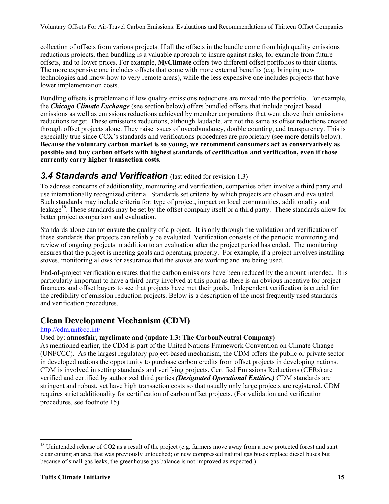collection of offsets from various projects. If all the offsets in the bundle come from high quality emissions reductions projects, then bundling is a valuable approach to insure against risks, for example from future offsets, and to lower prices. For example, **MyClimate** offers two different offset portfolios to their clients. The more expensive one includes offsets that come with more external benefits (e.g. bringing new technologies and know-how to very remote areas), while the less expensive one includes projects that have lower implementation costs.

Bundling offsets is problematic if low quality emissions reductions are mixed into the portfolio. For example, the *Chicago Climate Exchange* (see section below) offers bundled offsets that include project based emissions as well as emissions reductions achieved by member corporations that went above their emissions reductions target. These emissions reductions, although laudable, are not the same as offset reductions created through offset projects alone. They raise issues of overabundancy, double counting, and transparency. This is especially true since CCX's standards and verifications procedures are proprietary (see more details below). **Because the voluntary carbon market is so young, we recommend consumers act as conservatively as possible and buy carbon offsets with highest standards of certification and verification, even if those currently carry higher transaction costs.**

### **3.4 Standards and Verification** (last edited for revision 1.3)

To address concerns of additionality, monitoring and verification, companies often involve a third party and use internationally recognized criteria. Standards set criteria by which projects are chosen and evaluated. Such standards may include criteria for: type of project, impact on local communities, additionality and leakage<sup>18</sup>. These standards may be set by the offset company itself or a third party. These standards allow for better project comparison and evaluation.

Standards alone cannot ensure the quality of a project. It is only through the validation and verification of these standards that projects can reliably be evaluated. Verification consists of the periodic monitoring and review of ongoing projects in addition to an evaluation after the project period has ended. The monitoring ensures that the project is meeting goals and operating properly. For example, if a project involves installing stoves, monitoring allows for assurance that the stoves are working and are being used.

End-of-project verification ensures that the carbon emissions have been reduced by the amount intended. It is particularly important to have a third party involved at this point as there is an obvious incentive for project financers and offset buyers to see that projects have met their goals. Independent verification is crucial for the credibility of emission reduction projects. Below is a description of the most frequently used standards and verification procedures.

## **Clean Development Mechanism (CDM)**

#### http://cdm.unfccc.int/

### Used by: **atmosfair, myclimate and (update 1.3: The CarbonNeutral Company)**

As mentioned earlier, the CDM is part of the United Nations Framework Convention on Climate Change (UNFCCC). As the largest regulatory project-based mechanism, the CDM offers the public or private sector in developed nations the opportunity to purchase carbon credits from offset projects in developing nations. CDM is involved in setting standards and verifying projects. Certified Emissions Reductions (CERs) are verified and certified by authorized third parties *(Designated Operational Entities.)* CDM standards are stringent and robust, yet have high transaction costs so that usually only large projects are registered. CDM requires strict additionality for certification of carbon offset projects. (For validation and verification procedures, see footnote 15)

 $18$  Unintended release of CO2 as a result of the project (e.g. farmers move away from a now protected forest and start clear cutting an area that was previously untouched; or new compressed natural gas buses replace diesel buses but because of small gas leaks, the greenhouse gas balance is not improved as expected.)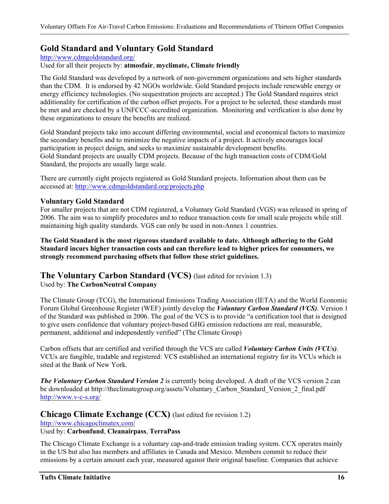## **Gold Standard and Voluntary Gold Standard**

http://www.cdmgoldstandard.org/

#### Used for all their projects by: **atmosfair**, **myclimate, Climate friendly**

The Gold Standard was developed by a network of non-government organizations and sets higher standards than the CDM. It is endorsed by 42 NGOs worldwide. Gold Standard projects include renewable energy or energy efficiency technologies. (No sequestration projects are accepted.) The Gold Standard requires strict additionality for certification of the carbon offset projects. For a project to be selected, these standards must be met and are checked by a UNFCCC-accredited organization. Monitoring and verification is also done by these organizations to ensure the benefits are realized.

Gold Standard projects take into account differing environmental, social and economical factors to maximize the secondary benefits and to minimize the negative impacts of a project. It actively encourages local participation in project design, and seeks to maximize sustainable development benefits. Gold Standard projects are usually CDM projects. Because of the high transaction costs of CDM/Gold Standard, the projects are usually large scale.

There are currently eight projects registered as Gold Standard projects. Information about them can be accessed at: http://www.cdmgoldstandard.org/projects.php

### **Voluntary Gold Standard**

For smaller projects that are not CDM registered, a Voluntary Gold Standard (VGS) was released in spring of 2006. The aim was to simplify procedures and to reduce transaction costs for small scale projects while still maintaining high quality standards. VGS can only be used in non-Annex 1 countries.

**The Gold Standard is the most rigorous standard available to date. Although adhering to the Gold Standard incurs higher transaction costs and can therefore lead to higher prices for consumers, we strongly recommend purchasing offsets that follow these strict guidelines.** 

## **The Voluntary Carbon Standard (VCS)** (last edited for revision 1.3)

### Used by: **The CarbonNeutral Company**

The Climate Group (TCG), the International Emissions Trading Association (IETA) and the World Economic Forum Global Greenhouse Register (WEF) jointly develop the *Voluntary Carbon Standard (VCS)*. Version 1 of the Standard was published in 2006. The goal of the VCS is to provide "a certification tool that is designed to give users confidence that voluntary project-based GHG emission reductions are real, measurable, permanent, additional and independently verified" (The Climate Group)

Carbon offsets that are certified and verified through the VCS are called *Voluntary Carbon Units (VCUs)*. VCUs are fungible, tradable and registered: VCS established an international registry for its VCUs which is sited at the Bank of New York.

*The Voluntary Carbon Standard Version 2* is currently being developed. A draft of the VCS version 2 can be downloaded at http://theclimategroup.org/assets/Voluntary\_Carbon\_Standard\_Version\_2\_final.pdf http://www.v-c-s.org/

### **Chicago Climate Exchange (CCX)** (last edited for revision 1.2)

http://www.chicagoclimatex.com/

### Used by: **Carbonfund**, **Cleanairpass**, **TerraPass**

The Chicago Climate Exchange is a voluntary cap-and-trade emission trading system. CCX operates mainly in the US but also has members and affiliates in Canada and Mexico. Members commit to reduce their emissions by a certain amount each year, measured against their original baseline. Companies that achieve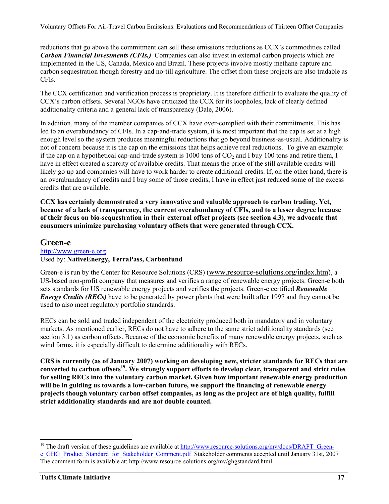reductions that go above the commitment can sell these emissions reductions as CCX's commodities called *Carbon Financial Investments (CFIs.)* Companies can also invest in external carbon projects which are implemented in the US, Canada, Mexico and Brazil. These projects involve mostly methane capture and carbon sequestration though forestry and no-till agriculture. The offset from these projects are also tradable as CFIs.

The CCX certification and verification process is proprietary. It is therefore difficult to evaluate the quality of CCX's carbon offsets. Several NGOs have criticized the CCX for its loopholes, lack of clearly defined additionality criteria and a general lack of transparency (Dale, 2006).

In addition, many of the member companies of CCX have over-complied with their commitments. This has led to an overabundancy of CFIs. In a cap-and-trade system, it is most important that the cap is set at a high enough level so the system produces meaningful reductions that go beyond business-as-usual. Additionality is not of concern because it is the cap on the emissions that helps achieve real reductions. To give an example: if the cap on a hypothetical cap-and-trade system is 1000 tons of  $CO<sub>2</sub>$  and I buy 100 tons and retire them, I have in effect created a scarcity of available credits. That means the price of the still available credits will likely go up and companies will have to work harder to create additional credits. If, on the other hand, there is an overabundancy of credits and I buy some of those credits, I have in effect just reduced some of the excess credits that are available.

**CCX has certainly demonstrated a very innovative and valuable approach to carbon trading. Yet, because of a lack of transparency, the current overabundancy of CFIs, and to a lesser degree because of their focus on bio-sequestration in their external offset projects (see section 4.3), we advocate that consumers minimize purchasing voluntary offsets that were generated through CCX.** 

### **Green-e**

### http://www.green-e.org Used by: **NativeEnergy, TerraPass, Carbonfund**

Green-e is run by the Center for Resource Solutions (CRS) (www.resource-solutions.org/index.htm), a US-based non-profit company that measures and verifies a range of renewable energy projects. Green-e both sets standards for US renewable energy projects and verifies the projects. Green-e certified *Renewable Energy Credits (RECs)* have to be generated by power plants that were built after 1997 and they cannot be used to also meet regulatory portfolio standards.

RECs can be sold and traded independent of the electricity produced both in mandatory and in voluntary markets. As mentioned earlier, RECs do not have to adhere to the same strict additionality standards (see section 3.1) as carbon offsets. Because of the economic benefits of many renewable energy projects, such as wind farms, it is especially difficult to determine additionality with RECs.

**CRS is currently (as of January 2007) working on developing new, stricter standards for RECs that are**  converted to carbon offsets<sup>19</sup>. We strongly support efforts to develop clear, transparent and strict rules **for selling RECs into the voluntary carbon market. Given how important renewable energy production will be in guiding us towards a low-carbon future, we support the financing of renewable energy projects though voluntary carbon offset companies, as long as the project are of high quality, fulfill strict additionality standards and are not double counted.** 

<sup>&</sup>lt;sup>19</sup> The draft version of these guidelines are available at  $\frac{http://www.resource-solutions.org/mv/docs/DRAPT_Green$ e\_GHG\_Product\_Standard\_for\_Stakeholder\_Comment.pdf Stakeholder comments accepted until January 31st, 2007 The comment form is available at: http://www.resource-solutions.org/mv/ghgstandard.html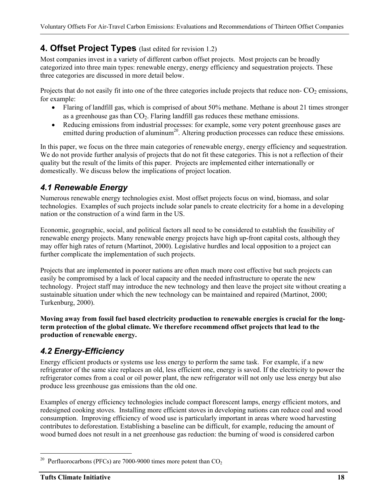## **4. Offset Project Types** (last edited for revision 1.2)

Most companies invest in a variety of different carbon offset projects. Most projects can be broadly categorized into three main types: renewable energy, energy efficiency and sequestration projects. These three categories are discussed in more detail below.

Projects that do not easily fit into one of the three categories include projects that reduce non- $CO<sub>2</sub>$  emissions, for example:

- Flaring of landfill gas, which is comprised of about 50% methane. Methane is about 21 times stronger as a greenhouse gas than  $CO<sub>2</sub>$ . Flaring landfill gas reduces these methane emissions.
- Reducing emissions from industrial processes: for example, some very potent greenhouse gases are emitted during production of aluminum<sup>20</sup>. Altering production processes can reduce these emissions.

In this paper, we focus on the three main categories of renewable energy, energy efficiency and sequestration. We do not provide further analysis of projects that do not fit these categories. This is not a reflection of their quality but the result of the limits of this paper. Projects are implemented either internationally or domestically. We discuss below the implications of project location.

## *4.1 Renewable Energy*

Numerous renewable energy technologies exist. Most offset projects focus on wind, biomass, and solar technologies. Examples of such projects include solar panels to create electricity for a home in a developing nation or the construction of a wind farm in the US.

Economic, geographic, social, and political factors all need to be considered to establish the feasibility of renewable energy projects. Many renewable energy projects have high up-front capital costs, although they may offer high rates of return (Martinot, 2000). Legislative hurdles and local opposition to a project can further complicate the implementation of such projects.

Projects that are implemented in poorer nations are often much more cost effective but such projects can easily be compromised by a lack of local capacity and the needed infrastructure to operate the new technology. Project staff may introduce the new technology and then leave the project site without creating a sustainable situation under which the new technology can be maintained and repaired (Martinot, 2000; Turkenburg, 2000).

**Moving away from fossil fuel based electricity production to renewable energies is crucial for the longterm protection of the global climate. We therefore recommend offset projects that lead to the production of renewable energy.** 

## *4.2 Energy-Efficiency*

Energy efficient products or systems use less energy to perform the same task. For example, if a new refrigerator of the same size replaces an old, less efficient one, energy is saved. If the electricity to power the refrigerator comes from a coal or oil power plant, the new refrigerator will not only use less energy but also produce less greenhouse gas emissions than the old one.

Examples of energy efficiency technologies include compact florescent lamps, energy efficient motors, and redesigned cooking stoves. Installing more efficient stoves in developing nations can reduce coal and wood consumption. Improving efficiency of wood use is particularly important in areas where wood harvesting contributes to deforestation. Establishing a baseline can be difficult, for example, reducing the amount of wood burned does not result in a net greenhouse gas reduction: the burning of wood is considered carbon

<sup>&</sup>lt;sup>20</sup> Perfluorocarbons (PFCs) are 7000-9000 times more potent than  $CO<sub>2</sub>$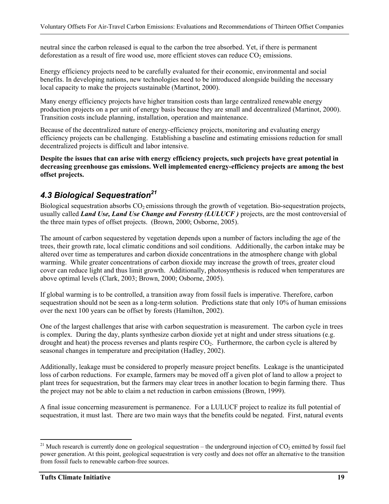neutral since the carbon released is equal to the carbon the tree absorbed. Yet, if there is permanent deforestation as a result of fire wood use, more efficient stoves can reduce  $CO<sub>2</sub>$  emissions.

Energy efficiency projects need to be carefully evaluated for their economic, environmental and social benefits. In developing nations, new technologies need to be introduced alongside building the necessary local capacity to make the projects sustainable (Martinot, 2000).

Many energy efficiency projects have higher transition costs than large centralized renewable energy production projects on a per unit of energy basis because they are small and decentralized (Martinot, 2000). Transition costs include planning, installation, operation and maintenance.

Because of the decentralized nature of energy-efficiency projects, monitoring and evaluating energy efficiency projects can be challenging. Establishing a baseline and estimating emissions reduction for small decentralized projects is difficult and labor intensive.

**Despite the issues that can arise with energy efficiency projects, such projects have great potential in decreasing greenhouse gas emissions. Well implemented energy-efficiency projects are among the best offset projects.** 

## *4.3 Biological Sequestration21*

Biological sequestration absorbs  $CO<sub>2</sub>$  emissions through the growth of vegetation. Bio-sequestration projects, usually called *Land Use, Land Use Change and Forestry (LULUCF )* projects, are the most controversial of the three main types of offset projects. (Brown, 2000; Osborne, 2005).

The amount of carbon sequestered by vegetation depends upon a number of factors including the age of the trees, their growth rate, local climatic conditions and soil conditions. Additionally, the carbon intake may be altered over time as temperatures and carbon dioxide concentrations in the atmosphere change with global warming. While greater concentrations of carbon dioxide may increase the growth of trees, greater cloud cover can reduce light and thus limit growth. Additionally, photosynthesis is reduced when temperatures are above optimal levels (Clark, 2003; Brown, 2000; Osborne, 2005).

If global warming is to be controlled, a transition away from fossil fuels is imperative. Therefore, carbon sequestration should not be seen as a long-term solution. Predictions state that only 10% of human emissions over the next 100 years can be offset by forests (Hamilton, 2002).

One of the largest challenges that arise with carbon sequestration is measurement. The carbon cycle in trees is complex. During the day, plants synthesize carbon dioxide yet at night and under stress situations (e.g. drought and heat) the process reverses and plants respire  $CO<sub>2</sub>$ . Furthermore, the carbon cycle is altered by seasonal changes in temperature and precipitation (Hadley, 2002).

Additionally, leakage must be considered to properly measure project benefits. Leakage is the unanticipated loss of carbon reductions. For example, farmers may be moved off a given plot of land to allow a project to plant trees for sequestration, but the farmers may clear trees in another location to begin farming there. Thus the project may not be able to claim a net reduction in carbon emissions (Brown, 1999).

A final issue concerning measurement is permanence. For a LULUCF project to realize its full potential of sequestration, it must last. There are two main ways that the benefits could be negated. First, natural events

<sup>&</sup>lt;sup>21</sup> Much research is currently done on geological sequestration – the underground injection of  $CO_2$  emitted by fossil fuel power generation. At this point, geological sequestration is very costly and does not offer an alternative to the transition from fossil fuels to renewable carbon-free sources.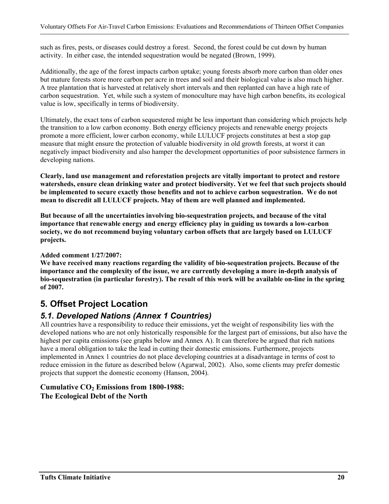such as fires, pests, or diseases could destroy a forest. Second, the forest could be cut down by human activity. In either case, the intended sequestration would be negated (Brown, 1999).

Additionally, the age of the forest impacts carbon uptake; young forests absorb more carbon than older ones but mature forests store more carbon per acre in trees and soil and their biological value is also much higher. A tree plantation that is harvested at relatively short intervals and then replanted can have a high rate of carbon sequestration. Yet, while such a system of monoculture may have high carbon benefits, its ecological value is low, specifically in terms of biodiversity.

Ultimately, the exact tons of carbon sequestered might be less important than considering which projects help the transition to a low carbon economy. Both energy efficiency projects and renewable energy projects promote a more efficient, lower carbon economy, while LULUCF projects constitutes at best a stop gap measure that might ensure the protection of valuable biodiversity in old growth forests, at worst it can negatively impact biodiversity and also hamper the development opportunities of poor subsistence farmers in developing nations.

**Clearly, land use management and reforestation projects are vitally important to protect and restore watersheds, ensure clean drinking water and protect biodiversity. Yet we feel that such projects should be implemented to secure exactly those benefits and not to achieve carbon sequestration. We do not mean to discredit all LULUCF projects. May of them are well planned and implemented.** 

**But because of all the uncertainties involving bio-sequestration projects, and because of the vital importance that renewable energy and energy efficiency play in guiding us towards a low-carbon society, we do not recommend buying voluntary carbon offsets that are largely based on LULUCF projects.** 

### **Added comment 1/27/2007:**

**We have received many reactions regarding the validity of bio-sequestration projects. Because of the importance and the complexity of the issue, we are currently developing a more in-depth analysis of bio-sequestration (in particular forestry). The result of this work will be available on-line in the spring of 2007.** 

## **5. Offset Project Location**

## *5.1. Developed Nations (Annex 1 Countries)*

All countries have a responsibility to reduce their emissions, yet the weight of responsibility lies with the developed nations who are not only historically responsible for the largest part of emissions, but also have the highest per capita emissions (see graphs below and Annex A). It can therefore be argued that rich nations have a moral obligation to take the lead in cutting their domestic emissions. Furthermore, projects implemented in Annex 1 countries do not place developing countries at a disadvantage in terms of cost to reduce emission in the future as described below (Agarwal, 2002). Also, some clients may prefer domestic projects that support the domestic economy (Hanson, 2004).

### **Cumulative CO2 Emissions from 1800-1988: The Ecological Debt of the North**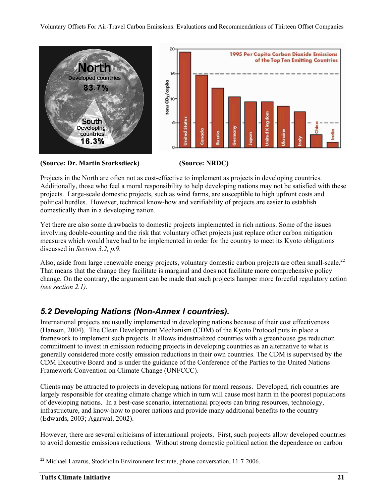

**(Source: Dr. Martin Storksdieck) (Source: NRDC)**



Projects in the North are often not as cost-effective to implement as projects in developing countries. Additionally, those who feel a moral responsibility to help developing nations may not be satisfied with these projects. Large-scale domestic projects, such as wind farms, are susceptible to high upfront costs and political hurdles. However, technical know-how and verifiability of projects are easier to establish domestically than in a developing nation.

Yet there are also some drawbacks to domestic projects implemented in rich nations. Some of the issues involving double-counting and the risk that voluntary offset projects just replace other carbon mitigation measures which would have had to be implemented in order for the country to meet its Kyoto obligations discussed in *Section 3.2, p.9.*

Also, aside from large renewable energy projects, voluntary domestic carbon projects are often small-scale.<sup>22</sup> That means that the change they facilitate is marginal and does not facilitate more comprehensive policy change. On the contrary, the argument can be made that such projects hamper more forceful regulatory action *(see section 2.1).* 

## *5.2 Developing Nations (Non-Annex I countries).*

International projects are usually implemented in developing nations because of their cost effectiveness (Hanson, 2004). The Clean Development Mechanism (CDM) of the Kyoto Protocol puts in place a framework to implement such projects. It allows industrialized countries with a greenhouse gas reduction commitment to invest in emission reducing projects in developing countries as an alternative to what is generally considered more costly emission reductions in their own countries. The CDM is supervised by the CDM Executive Board and is under the guidance of the Conference of the Parties to the United Nations Framework Convention on Climate Change (UNFCCC).

Clients may be attracted to projects in developing nations for moral reasons. Developed, rich countries are largely responsible for creating climate change which in turn will cause most harm in the poorest populations of developing nations. In a best-case scenario, international projects can bring resources, technology, infrastructure, and know-how to poorer nations and provide many additional benefits to the country (Edwards, 2003; Agarwal, 2002).

However, there are several criticisms of international projects. First, such projects allow developed countries to avoid domestic emissions reductions. Without strong domestic political action the dependence on carbon

<sup>1</sup>  $22$  Michael Lazarus, Stockholm Environment Institute, phone conversation, 11-7-2006.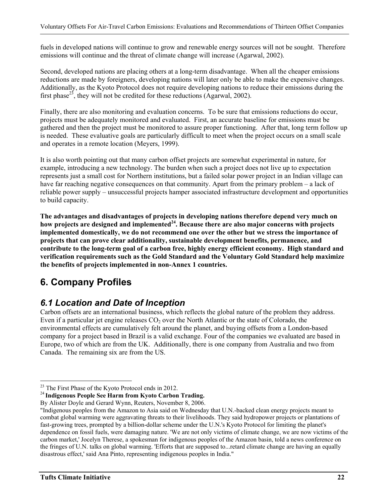fuels in developed nations will continue to grow and renewable energy sources will not be sought. Therefore emissions will continue and the threat of climate change will increase (Agarwal, 2002).

Second, developed nations are placing others at a long-term disadvantage. When all the cheaper emissions reductions are made by foreigners, developing nations will later only be able to make the expensive changes. Additionally, as the Kyoto Protocol does not require developing nations to reduce their emissions during the first phase<sup>23</sup>, they will not be credited for these reductions (Agarwal, 2002).

Finally, there are also monitoring and evaluation concerns. To be sure that emissions reductions do occur, projects must be adequately monitored and evaluated. First, an accurate baseline for emissions must be gathered and then the project must be monitored to assure proper functioning. After that, long term follow up is needed. These evaluative goals are particularly difficult to meet when the project occurs on a small scale and operates in a remote location (Meyers, 1999).

It is also worth pointing out that many carbon offset projects are somewhat experimental in nature, for example, introducing a new technology. The burden when such a project does not live up to expectation represents just a small cost for Northern institutions, but a failed solar power project in an Indian village can have far reaching negative consequences on that community. Apart from the primary problem – a lack of reliable power supply – unsuccessful projects hamper associated infrastructure development and opportunities to build capacity.

**The advantages and disadvantages of projects in developing nations therefore depend very much on how projects are designed and implemented24. Because there are also major concerns with projects implemented domestically, we do not recommend one over the other but we stress the importance of projects that can prove clear additionality, sustainable development benefits, permanence, and contribute to the long-term goal of a carbon free, highly energy efficient economy. High standard and verification requirements such as the Gold Standard and the Voluntary Gold Standard help maximize the benefits of projects implemented in non-Annex 1 countries.** 

## **6. Company Profiles**

## *6.1 Location and Date of Inception*

Carbon offsets are an international business, which reflects the global nature of the problem they address. Even if a particular jet engine releases  $CO<sub>2</sub>$  over the North Atlantic or the state of Colorado, the environmental effects are cumulatively felt around the planet, and buying offsets from a London-based company for a project based in Brazil is a valid exchange. Four of the companies we evaluated are based in Europe, two of which are from the UK. Additionally, there is one company from Australia and two from Canada. The remaining six are from the US.

<u>.</u>

 $2<sup>23</sup>$  The First Phase of the Kyoto Protocol ends in 2012.

<sup>24</sup>**Indigenous People See Harm from Kyoto Carbon Trading.** 

By Alister Doyle and Gerard Wynn, Reuters, November 8, 2006.

<sup>&</sup>quot;Indigenous peoples from the Amazon to Asia said on Wednesday that U.N.-backed clean energy projects meant to combat global warming were aggravating threats to their livelihoods. They said hydropower projects or plantations of fast-growing trees, prompted by a billion-dollar scheme under the U.N.'s Kyoto Protocol for limiting the planet's dependence on fossil fuels, were damaging nature. 'We are not only victims of climate change, we are now victims of the carbon market,' Jocelyn Therese, a spokesman for indigenous peoples of the Amazon basin, told a news conference on the fringes of U.N. talks on global warming. 'Efforts that are supposed to...retard climate change are having an equally disastrous effect,' said Ana Pinto, representing indigenous peoples in India."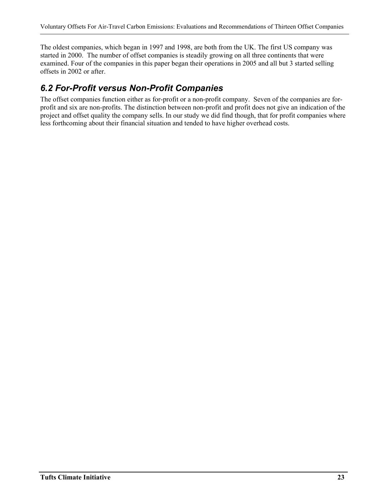The oldest companies, which began in 1997 and 1998, are both from the UK. The first US company was started in 2000. The number of offset companies is steadily growing on all three continents that were examined. Four of the companies in this paper began their operations in 2005 and all but 3 started selling offsets in 2002 or after.

## *6.2 For-Profit versus Non-Profit Companies*

The offset companies function either as for-profit or a non-profit company. Seven of the companies are forprofit and six are non-profits. The distinction between non-profit and profit does not give an indication of the project and offset quality the company sells. In our study we did find though, that for profit companies where less forthcoming about their financial situation and tended to have higher overhead costs.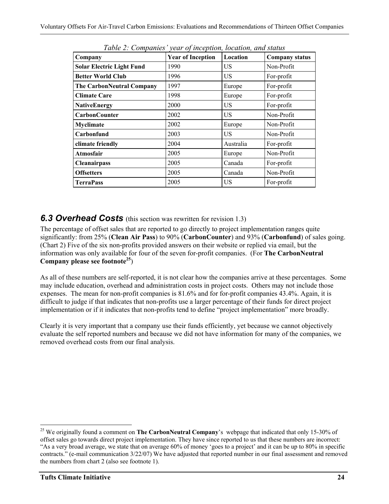| Tuble 2. Companies fear of meephon, locallon, and status |                          |           |                       |  |  |  |
|----------------------------------------------------------|--------------------------|-----------|-----------------------|--|--|--|
| Company                                                  | <b>Year of Inception</b> | Location  | <b>Company status</b> |  |  |  |
| <b>Solar Electric Light Fund</b>                         | 1990                     | <b>US</b> | Non-Profit            |  |  |  |
| <b>Better World Club</b>                                 | 1996                     | US        | For-profit            |  |  |  |
| The CarbonNeutral Company                                | 1997                     | Europe    | For-profit            |  |  |  |
| <b>Climate Care</b>                                      | 1998                     | Europe    | For-profit            |  |  |  |
| <b>NativeEnergy</b>                                      | 2000                     | <b>US</b> | For-profit            |  |  |  |
| <b>CarbonCounter</b>                                     | 2002                     | <b>US</b> | Non-Profit            |  |  |  |
| Myclimate                                                | 2002                     | Europe    | Non-Profit            |  |  |  |
| Carbonfund                                               | 2003                     | US        | Non-Profit            |  |  |  |
| climate friendly                                         | 2004                     | Australia | For-profit            |  |  |  |
| Atmosfair                                                | 2005                     | Europe    | Non-Profit            |  |  |  |
| <b>Cleanairpass</b>                                      | 2005                     | Canada    | For-profit            |  |  |  |
| <b>Offsetters</b>                                        | 2005                     | Canada    | Non-Profit            |  |  |  |
| <b>TerraPass</b>                                         | 2005                     | US        | For-profit            |  |  |  |

*Table 2: Companies' year of inception, location, and status* 

### **6.3 Overhead Costs** (this section was rewritten for revision 1.3)

The percentage of offset sales that are reported to go directly to project implementation ranges quite significantly: from 25% (**Clean Air Pass**) to 90% (**CarbonCounter**) and 93% (**Carbonfund**) of sales going. (Chart 2) Five of the six non-profits provided answers on their website or replied via email, but the information was only available for four of the seven for-profit companies. (For **The CarbonNeutral Company please see footnote<sup>25</sup>**)

As all of these numbers are self-reported, it is not clear how the companies arrive at these percentages. Some may include education, overhead and administration costs in project costs. Others may not include those expenses. The mean for non-profit companies is 81.6% and for for-profit companies 43.4%. Again, it is difficult to judge if that indicates that non-profits use a larger percentage of their funds for direct project implementation or if it indicates that non-profits tend to define "project implementation" more broadly.

Clearly it is very important that a company use their funds efficiently, yet because we cannot objectively evaluate the self reported numbers and because we did not have information for many of the companies, we removed overhead costs from our final analysis.

<u>.</u>

<sup>&</sup>lt;sup>25</sup> We originally found a comment on **The CarbonNeutral Company**'s webpage that indicated that only 15-30% of offset sales go towards direct project implementation. They have since reported to us that these numbers are incorrect: "As a very broad average, we state that on average 60% of money 'goes to a project' and it can be up to 80% in specific contracts." (e-mail communication 3/22/07) We have adjusted that reported number in our final assessment and removed the numbers from chart 2 (also see footnote 1).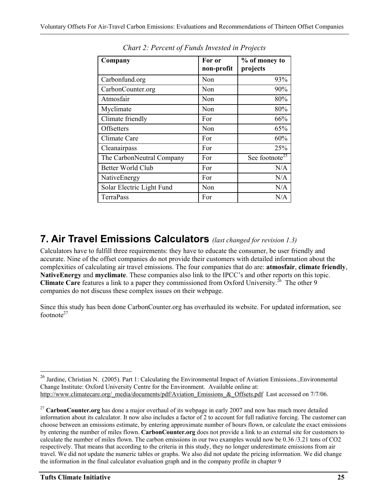| Company                   | For or<br>non-profit | % of money to<br>projects  |
|---------------------------|----------------------|----------------------------|
| Carbonfund.org            | Non                  | 93%                        |
| CarbonCounter.org         | Non                  | 90%                        |
| Atmosfair                 | Non                  | 80%                        |
| Myclimate                 | Non                  | 80%                        |
| Climate friendly          | For                  | 66%                        |
| <b>Offsetters</b>         | Non                  | 65%                        |
| Climate Care              | For                  | 60%                        |
| Cleanairpass              | For                  | 25%                        |
| The CarbonNeutral Company | For                  | See footnote <sup>25</sup> |
| <b>Better World Club</b>  | For                  | N/A                        |
| NativeEnergy              | For                  | N/A                        |
| Solar Electric Light Fund | Non                  | N/A                        |
| <b>TerraPass</b>          | For                  | N/A                        |

*Chart 2: Percent of Funds Invested in Projects* 

## **7. Air Travel Emissions Calculators** *(last changed for revision 1.3)*

Calculators have to fulfill three requirements: they have to educate the consumer, be user friendly and accurate. Nine of the offset companies do not provide their customers with detailed information about the complexities of calculating air travel emissions. The four companies that do are: **atmosfair**, **climate friendly**, **NativeEnergy** and **myclimate**. These companies also link to the IPCC's and other reports on this topic. Climate Care features a link to a paper they commissioned from Oxford University.<sup>26</sup> The other 9 companies do not discuss these complex issues on their webpage.

Since this study has been done CarbonCounter.org has overhauled its website. For updated information, see footnote $27$ 

<u>.</u>

 $^{26}$  Jardine, Christian N. (2005). Part 1: Calculating the Environmental Impact of Aviation Emissions. Environmental Change Institute: Oxford University Centre for the Environment. Available online at: http://www.climatecare.org/\_media/documents/pdf/Aviation\_Emissions\_&\_Offsets.pdf Last accessed on 7/7/06.

<sup>&</sup>lt;sup>27</sup> CarbonCounter.org has done a major overhaul of its webpage in early 2007 and now has much more detailed information about its calculator. It now also includes a factor of 2 to account for full radiative forcing. The customer can choose between an emissions estimate, by entering approximate number of hours flown, or calculate the exact emissions by entering the number of miles flown. **CarbonCounter.org** does not provide a link to an external site for customers to calculate the number of miles flown. The carbon emissions in our two examples would now be 0.36 /3.21 tons of CO2 respectively. That means that according to the criteria in this study, they no longer underestimate emissions from air travel. We did not update the numeric tables or graphs. We also did not update the pricing information. We did change the information in the final calculator evaluation graph and in the company profile in chapter 9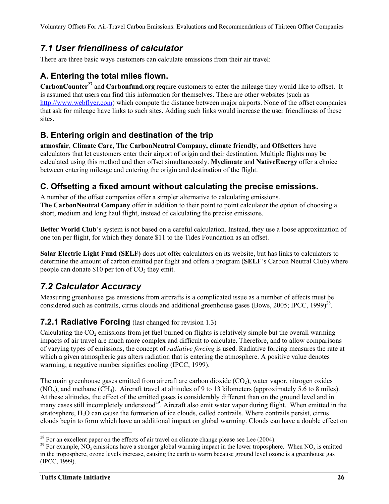## *7.1 User friendliness of calculator*

There are three basic ways customers can calculate emissions from their air travel:

## **A. Entering the total miles flown.**

**CarbonCounter<sup>27</sup>** and **Carbonfund.org** require customers to enter the mileage they would like to offset. It is assumed that users can find this information for themselves. There are other websites (such as http://www.webflyer.com) which compute the distance between major airports. None of the offset companies that ask for mileage have links to such sites. Adding such links would increase the user friendliness of these sites.

## **B. Entering origin and destination of the trip**

**atmosfair**, **Climate Care**, **The CarbonNeutral Company, climate friendly**, and **Offsetters** have calculators that let customers enter their airport of origin and their destination. Multiple flights may be calculated using this method and then offset simultaneously. **Myclimate** and **NativeEnergy** offer a choice between entering mileage and entering the origin and destination of the flight.

## **C. Offsetting a fixed amount without calculating the precise emissions.**

A number of the offset companies offer a simpler alternative to calculating emissions. **The CarbonNeutral Company** offer in addition to their point to point calculator the option of choosing a short, medium and long haul flight, instead of calculating the precise emissions.

**Better World Club**'s system is not based on a careful calculation. Instead, they use a loose approximation of one ton per flight, for which they donate \$11 to the Tides Foundation as an offset.

**Solar Electric Light Fund (SELF)** does not offer calculators on its website, but has links to calculators to determine the amount of carbon emitted per flight and offers a program (**SELF**'s Carbon Neutral Club) where people can donate  $$10$  per ton of  $CO<sub>2</sub>$  they emit.

## *7.2 Calculator Accuracy*

Measuring greenhouse gas emissions from aircrafts is a complicated issue as a number of effects must be considered such as contrails, cirrus clouds and additional greenhouse gases (Bows, 2005; IPCC, 1999)<sup>28</sup>.

## **7.2.1 Radiative Forcing** (last changed for revision 1.3)

Calculating the  $CO<sub>2</sub>$  emissions from jet fuel burned on flights is relatively simple but the overall warming impacts of air travel are much more complex and difficult to calculate. Therefore, and to allow comparisons of varying types of emissions, the concept of *radiative forcing* is used. Radiative forcing measures the rate at which a given atmospheric gas alters radiation that is entering the atmosphere. A positive value denotes warming; a negative number signifies cooling (IPCC, 1999).

The main greenhouse gases emitted from aircraft are carbon dioxide  $(CO<sub>2</sub>)$ , water vapor, nitrogen oxides  $(NO<sub>x</sub>)$ , and methane  $(CH<sub>4</sub>)$ . Aircraft travel at altitudes of 9 to 13 kilometers (approximately 5.6 to 8 miles). At these altitudes, the effect of the emitted gases is considerably different than on the ground level and in many cases still incompletely understood<sup>29</sup>. Aircraft also emit water vapor during flight. When emitted in the stratosphere, H<sub>2</sub>O can cause the formation of ice clouds, called contrails. Where contrails persist, cirrus clouds begin to form which have an additional impact on global warming. Clouds can have a double effect on

 $28$  For an excellent paper on the effects of air travel on climate change please see Lee (2004).

<sup>&</sup>lt;sup>29</sup> For example, NO<sub>x</sub> emissions have a stronger global warming impact in the lower troposphere. When NO<sub>x</sub> is emitted in the troposphere, ozone levels increase, causing the earth to warm because ground level ozone is a greenhouse gas (IPCC, 1999).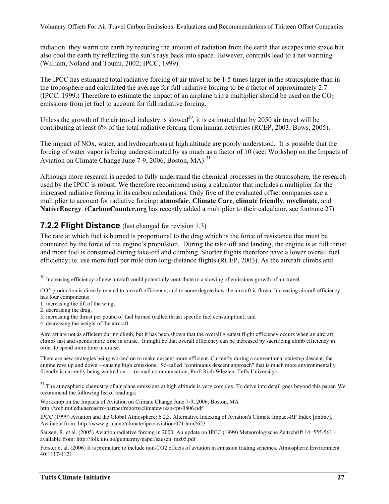radiation: they warm the earth by reducing the amount of radiation from the earth that escapes into space but also cool the earth by reflecting the sun's rays back into space. However, contrails lead to a net warming (William, Noland and Toumi, 2002; IPCC, 1999).

The IPCC has estimated total radiative forcing of air travel to be 1-5 times larger in the stratosphere than in the troposphere and calculated the average for full radiative forcing to be a factor of approximately 2.7 (IPCC, 1999.) Therefore to estimate the impact of an airplane trip a multiplier should be used on the  $CO<sub>2</sub>$ emissions from jet fuel to account for full radiative forcing.

Unless the growth of the air travel industry is slowed<sup>30</sup>, it is estimated that by 2050 air travel will be contributing at least 6% of the total radiative forcing from human activities (RCEP, 2003; Bows, 2005).

The impact of NOx, water, and hydrocarbons at high altitude are poorly understood. It is possible that the forcing of water vapor is being underestimated by as much as a factor of 10 (see: Workshop on the Impacts of Aviation on Climate Change June 7-9, 2006, Boston, MA)<sup>31</sup>

Although more research is needed to fully understand the chemical processes in the stratosphere, the research used by the IPCC is robust. We therefore recommend using a calculator that includes a multiplier for the increased radiative forcing in its carbon calculations. Only five of the evaluated offset companies use a multiplier to account for radiative forcing: **atmosfair**, **Climate Care**, **climate friendly**, **myclimate**, and **NativeEnergy**. (**CarbonCounter.org** has recently added a multiplier to their calculator, see footnote 27)

## **7.2.2 Flight Distance** (last changed for revision 1.3)

The rate at which fuel is burned is proportional to the drag which is the force of resistance that must be countered by the force of the engine's propulsion. During the take-off and landing, the engine is at full thrust and more fuel is consumed during take-off and climbing. Shorter flights therefore have a lower overall fuel efficiency; ie. use more fuel per mile than long-distance flights (RCEP, 2003). As the aircraft climbs and

1

There are new strategies being worked on to make descent more efficient. Currently during a conventional stairstep descent, the engine revs up and down – causing high emissions. So-called "continuous descent approach" that is much more environmentally friendly is currently being worked on. (e-mail communication, Prof. Rich Wlezien, Tufts University)

<sup>31</sup> The atmospheric chemistry of air plane emissions at high altitude is very complex. To delve into detail goes beyond this paper. We recommend the following list of readings:

Workshop on the Impacts of Aviation on Climate Change June 7-9, 2006, Boston, MA http://web.mit.edu/aeroastro/partner/reports/climatewrksp-rpt-0806.pdf

IPCC (1999) Aviation and the Global Atmosphere: 6.2.3. Alternative Indexing of Aviation's Climate Impact-RF Index [online]. Available from: http://www.grida.no/climate/ipcc/aviation/071.htm#623

Sausen, R. et al. (2005) Aviation radiative forcing in 2000: An update on IPCC (1999) Meteorologische Zeitschrift 14: 555-561 available from: http://folk.uio.no/gunnarmy/paper/sausen\_mz05.pdf

Forster et al. (2006) It is premature to include non-CO2 effects of aviation in emission trading schemes. Atmospheric Environment 40:1117-1121

 $30$  Increasing efficiency of new aircraft could potentially contribute to a slowing of emissions growth of air-travel.

CO2 production is directly related to aircraft efficiency, and to some degree how the aircraft is flown. Increasing aircraft efficiency has four components:

<sup>1.</sup> increasing the lift of the wing,

<sup>2.</sup> decreasing the drag,

<sup>3.</sup> increasing the thrust per pound of fuel burned (called thrust specific fuel consumption), and

<sup>4.</sup> decreasing the weight of the aircraft.

Aircraft are not as efficient during climb, but it has been shown that the overall greatest flight efficiency occurs when an aircraft climbs fast and spends more time in cruise. It might be that overall efficiency can be increased by sacrificing climb efficiency in order to spend more time in cruise.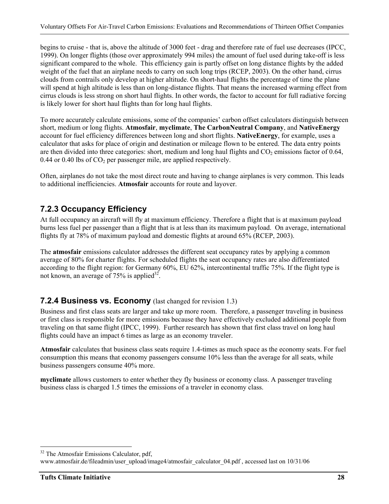begins to cruise - that is, above the altitude of 3000 feet - drag and therefore rate of fuel use decreases (IPCC, 1999). On longer flights (those over approximately 994 miles) the amount of fuel used during take-off is less significant compared to the whole. This efficiency gain is partly offset on long distance flights by the added weight of the fuel that an airplane needs to carry on such long trips (RCEP, 2003). On the other hand, cirrus clouds from contrails only develop at higher altitude. On short-haul flights the percentage of time the plane will spend at high altitude is less than on long-distance flights. That means the increased warming effect from cirrus clouds is less strong on short haul flights. In other words, the factor to account for full radiative forcing is likely lower for short haul flights than for long haul flights.

To more accurately calculate emissions, some of the companies' carbon offset calculators distinguish between short, medium or long flights. **Atmosfair**, **myclimate**, **The CarbonNeutral Company**, and **NativeEnergy** account for fuel efficiency differences between long and short flights. **NativeEnergy**, for example, uses a calculator that asks for place of origin and destination or mileage flown to be entered. The data entry points are then divided into three categories: short, medium and long haul flights and CO<sub>2</sub> emissions factor of 0.64, 0.44 or 0.40 lbs of  $CO<sub>2</sub>$  per passenger mile, are applied respectively.

Often, airplanes do not take the most direct route and having to change airplanes is very common. This leads to additional inefficiencies. **Atmosfair** accounts for route and layover.

## **7.2.3 Occupancy Efficiency**

At full occupancy an aircraft will fly at maximum efficiency. Therefore a flight that is at maximum payload burns less fuel per passenger than a flight that is at less than its maximum payload. On average, international flights fly at 78% of maximum payload and domestic flights at around 65% (RCEP, 2003).

The **atmosfair** emissions calculator addresses the different seat occupancy rates by applying a common average of 80% for charter flights. For scheduled flights the seat occupancy rates are also differentiated according to the flight region: for Germany 60%, EU 62%, intercontinental traffic 75%. If the flight type is not known, an average of  $75\%$  is applied<sup>32</sup>.

### **7.2.4 Business vs. Economy** (last changed for revision 1.3)

Business and first class seats are larger and take up more room. Therefore, a passenger traveling in business or first class is responsible for more emissions because they have effectively excluded additional people from traveling on that same flight (IPCC, 1999). Further research has shown that first class travel on long haul flights could have an impact 6 times as large as an economy traveler.

**Atmosfair** calculates that business class seats require 1.4-times as much space as the economy seats. For fuel consumption this means that economy passengers consume 10% less than the average for all seats, while business passengers consume 40% more.

**myclimate** allows customers to enter whether they fly business or economy class. A passenger traveling business class is charged 1.5 times the emissions of a traveler in economy class.

<u>.</u>

<sup>&</sup>lt;sup>32</sup> The Atmosfair Emissions Calculator, pdf,

www.atmosfair.de/fileadmin/user\_upload/image4/atmosfair\_calculator\_04.pdf , accessed last on 10/31/06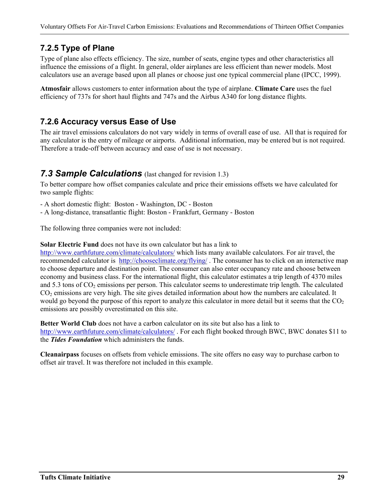## **7.2.5 Type of Plane**

Type of plane also effects efficiency. The size, number of seats, engine types and other characteristics all influence the emissions of a flight. In general, older airplanes are less efficient than newer models. Most calculators use an average based upon all planes or choose just one typical commercial plane (IPCC, 1999).

**Atmosfair** allows customers to enter information about the type of airplane. **Climate Care** uses the fuel efficiency of 737s for short haul flights and 747s and the Airbus A340 for long distance flights.

## **7.2.6 Accuracy versus Ease of Use**

The air travel emissions calculators do not vary widely in terms of overall ease of use. All that is required for any calculator is the entry of mileage or airports. Additional information, may be entered but is not required. Therefore a trade-off between accuracy and ease of use is not necessary.

### **7.3 Sample Calculations** (last changed for revision 1.3)

To better compare how offset companies calculate and price their emissions offsets we have calculated for two sample flights:

- A short domestic flight: Boston - Washington, DC - Boston

- A long-distance, transatlantic flight: Boston - Frankfurt, Germany - Boston

The following three companies were not included:

**Solar Electric Fund** does not have its own calculator but has a link to

http://www.earthfuture.com/climate/calculators/ which lists many available calculators. For air travel, the recommended calculator is http://chooseclimate.org/flying/ . The consumer has to click on an interactive map to choose departure and destination point. The consumer can also enter occupancy rate and choose between economy and business class. For the international flight, this calculator estimates a trip length of 4370 miles and 5.3 tons of  $CO<sub>2</sub>$  emissions per person. This calculator seems to underestimate trip length. The calculated  $CO<sub>2</sub>$  emissions are very high. The site gives detailed information about how the numbers are calculated. It would go beyond the purpose of this report to analyze this calculator in more detail but it seems that the  $CO<sub>2</sub>$ emissions are possibly overestimated on this site.

**Better World Club** does not have a carbon calculator on its site but also has a link to http://www.earthfuture.com/climate/calculators/. For each flight booked through BWC, BWC donates \$11 to the *Tides Foundation* which administers the funds.

**Cleanairpass** focuses on offsets from vehicle emissions. The site offers no easy way to purchase carbon to offset air travel. It was therefore not included in this example.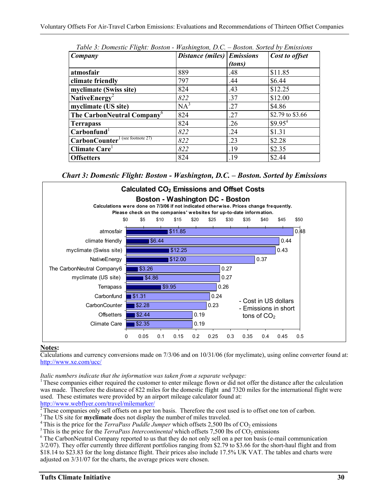| Company                                       | Distance (miles) Emissions |        | Cost to offset      |
|-----------------------------------------------|----------------------------|--------|---------------------|
|                                               |                            | (tons) |                     |
| atmosfair                                     | 889                        | .48    | \$11.85             |
| climate friendly                              | 797                        | .44    | \$6.44              |
| myclimate (Swiss site)                        | 824                        | .43    | \$12.25             |
| NativeEnergy <sup>2</sup>                     | 822                        | .37    | \$12.00             |
| myclimate (US site)                           | $NA^3$                     | .27    | \$4.86              |
| The CarbonNeutral Company <sup>o</sup>        | 824                        | .27    | \$2.79 to \$3.66    |
| <b>Terrapass</b>                              | 824                        | .26    | \$9.95 <sup>4</sup> |
| $\mathbf{Carbonfund}^{\mathsf{I}}$            | 822                        | .24    | \$1.31              |
| Carbon Counter <sup>1</sup> (see footnote 27) | 822                        | .23    | \$2.28              |
| Climate Care                                  | 822                        | .19    | \$2.35              |
| <b>Offsetters</b>                             | 824                        | .19    | \$2.44              |

*Table 3: Domestic Flight: Boston - Washington, D.C. – Boston. Sorted by Emissions* 

*Chart 3: Domestic Flight: Boston - Washington, D.C. – Boston. Sorted by Emissions* 



### **Notes:**

Calculations and currency conversions made on 7/3/06 and on 10/31/06 (for myclimate), using online converter found at: http://www.xe.com/ucc/

*Italic numbers indicate that the information was taken from a separate webpage:* 

 $<sup>1</sup>$  These companies either required the customer to enter mileage flown or did not offer the distance after the calculation</sup> was made. Therefore the distance of 822 miles for the domestic flight and 7320 miles for the international flight were used. These estimates were provided by an airport mileage calculator found at:<br>http://www.webflyer.com/travel/milemarker/

<sup>2</sup> These companies only sell offsets on a per ton basis. Therefore the cost used is to offset one ton of carbon.<br><sup>3</sup> The US site for **myclimate** does not display the number of miles traveled.

<sup>4</sup> This is the price for the *TerraPass Puddle Jumper* which offsets 2,500 lbs of  $CO_2$  emissions <sup>5</sup> This is the price for the *TerraPass Intercontinental* which offsets 7,500 lbs of  $CO_2$  emissions

<sup>6</sup> The CarbonNeutral Company reported to us that they do not only sell on a per ton basis (e-mail communication 3/2/07). They offer currently three different portfolios ranging from \$2.79 to \$3.66 for the short-haul flight and from \$18.14 to \$23.83 for the long distance flight. Their prices also include 17.5% UK VAT. The tables and charts were adjusted on 3/31/07 for the charts, the average prices were chosen.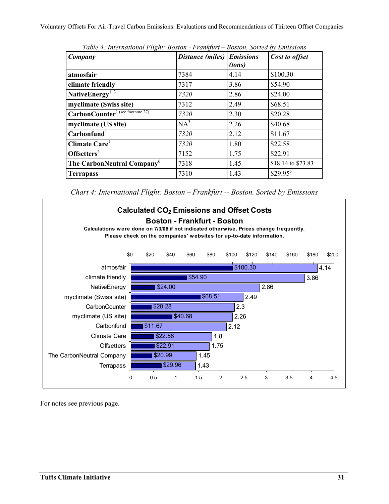| Company                                      | Distance (miles) Emissions | (tons) | Cost to offset     |
|----------------------------------------------|----------------------------|--------|--------------------|
| atmosfair                                    | 7384                       | 4.14   | \$100.30           |
| climate friendly                             | 7317                       | 3.86   | \$54.90            |
| NativeEnergy $^{1,3}$                        | 7320                       | 2.86   | \$24.00            |
| myclimate (Swiss site)                       | 7312                       | 2.49   | \$68.51            |
| CarbonCounter <sup>1</sup> (see footnote 27) | 7320                       | 2.30   | \$20.28            |
| myclimate (US site)                          | $NA^3$                     | 2.26   | \$40.68            |
| $\mathbf{Carbonfund}^1$                      | 7320                       | 2.12   | \$11.67            |
| Climate Care <sup>1</sup>                    | 7320                       | 1.80   | \$22.58            |
| Offsetters <sup>4</sup>                      | 7152                       | 1.75   | \$22.91            |
| The CarbonNeutral Company <sup>6</sup>       | 7318                       | 1.45   | \$18.14 to \$23.83 |
| <b>Terrapass</b>                             | 7310                       | 1.43   | $$29.95^5$         |

*Table 4: International Flight: Boston - Frankfurt – Boston. Sorted by Emissions* 

*Chart 4: International Flight: Boston – Frankfurt -- Boston. Sorted by Emissions* 



For notes see previous page.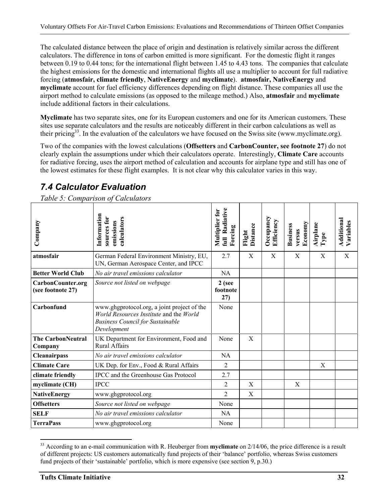The calculated distance between the place of origin and destination is relatively similar across the different calculators. The difference in tons of carbon emitted is more significant. For the domestic flight it ranges between 0.19 to 0.44 tons; for the international flight between 1.45 to 4.43 tons. The companies that calculate the highest emissions for the domestic and international flights all use a multiplier to account for full radiative forcing (**atmosfair, climate friendly**, **NativeEnergy** and **myclimate**). **atmosfair, NativeEnergy** and **myclimate** account for fuel efficiency differences depending on flight distance. These companies all use the airport method to calculate emissions (as opposed to the mileage method.) Also, **atmosfair** and **myclimate** include additional factors in their calculations.

**Myclimate** has two separate sites, one for its European customers and one for its American customers. These sites use separate calculators and the results are noticeably different in their carbon calculations as well as their pricing<sup>33</sup>. In the evaluation of the calculators we have focused on the Swiss site (www.myclimate.org).

Two of the companies with the lowest calculations (**Offsetters** and **CarbonCounter, see footnote 27**) do not clearly explain the assumptions under which their calculators operate. Interestingly, **Climate Care** accounts for radiative forcing, uses the airport method of calculation and accounts for airplane type and still has one of the lowest estimates for these flight examples. It is not clear why this calculator varies in this way.

| Company                                | Information<br>sources for<br>calculators<br>emissions                                                                                           | full Radiative<br>Multiplier for<br>Forcing | Distance<br>Flight | Occupancy<br>Efficiency | Economy<br><b>Business</b><br>versus | Airplane<br>${\bf Type}$ | Additional<br>Variables |
|----------------------------------------|--------------------------------------------------------------------------------------------------------------------------------------------------|---------------------------------------------|--------------------|-------------------------|--------------------------------------|--------------------------|-------------------------|
| atmosfair                              | German Federal Environment Ministry, EU,<br>UN, German Aerospace Center, and IPCC                                                                | 2.7                                         | X                  | X                       | X                                    | X                        | $\mathbf X$             |
| <b>Better World Club</b>               | No air travel emissions calculator                                                                                                               | <b>NA</b>                                   |                    |                         |                                      |                          |                         |
| CarbonCounter.org<br>(see footnote 27) | Source not listed on webpage                                                                                                                     | $2$ (see<br>footnote<br>27)                 |                    |                         |                                      |                          |                         |
| Carbonfund                             | www.ghgprotocol.org, a joint project of the<br>World Resources Institute and the World<br><b>Business Council for Sustainable</b><br>Development | None                                        |                    |                         |                                      |                          |                         |
| <b>The CarbonNeutral</b><br>Company    | UK Department for Environment, Food and<br><b>Rural Affairs</b>                                                                                  | None                                        | X                  |                         |                                      |                          |                         |
| <b>Cleanairpass</b>                    | No air travel emissions calculator                                                                                                               | NA                                          |                    |                         |                                      |                          |                         |
| <b>Climate Care</b>                    | UK Dep. for Env., Food & Rural Affairs                                                                                                           | 2                                           |                    |                         |                                      | X                        |                         |
| climate friendly                       | IPCC and the Greenhouse Gas Protocol                                                                                                             | 2.7                                         |                    |                         |                                      |                          |                         |
| myclimate (CH)                         | <b>IPCC</b>                                                                                                                                      | 2                                           | X                  |                         | X                                    |                          |                         |
| <b>NativeEnergy</b>                    | www.ghgprotocol.org                                                                                                                              | $\overline{2}$                              | X                  |                         |                                      |                          |                         |
| <b>Offsetters</b>                      | Source not listed on webpage                                                                                                                     | None                                        |                    |                         |                                      |                          |                         |
| <b>SELF</b>                            | No air travel emissions calculator                                                                                                               | <b>NA</b>                                   |                    |                         |                                      |                          |                         |
| <b>TerraPass</b>                       | www.ghgprotocol.org                                                                                                                              | None                                        |                    |                         |                                      |                          |                         |

## *7.4 Calculator Evaluation*

*Table 5: Comparison of Calculators* 

<sup>1</sup> 33 According to an e-mail communication with R. Heuberger from **myclimate** on 2/14/06, the price difference is a result of different projects: US customers automatically fund projects of their 'balance' portfolio, whereas Swiss customers fund projects of their 'sustainable' portfolio, which is more expensive (see section 9, p.30.)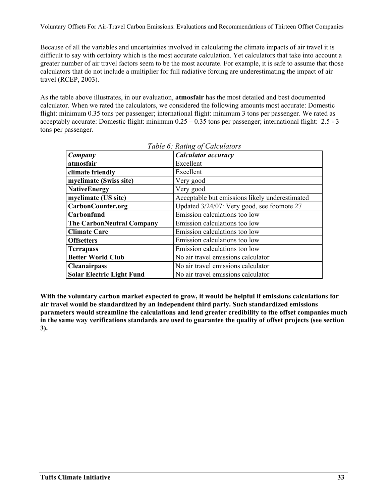Because of all the variables and uncertainties involved in calculating the climate impacts of air travel it is difficult to say with certainty which is the most accurate calculation. Yet calculators that take into account a greater number of air travel factors seem to be the most accurate. For example, it is safe to assume that those calculators that do not include a multiplier for full radiative forcing are underestimating the impact of air travel (RCEP, 2003).

As the table above illustrates, in our evaluation, **atmosfair** has the most detailed and best documented calculator. When we rated the calculators, we considered the following amounts most accurate: Domestic flight: minimum 0.35 tons per passenger; international flight: minimum 3 tons per passenger. We rated as acceptably accurate: Domestic flight: minimum 0.25 – 0.35 tons per passenger; international flight: 2.5 - 3 tons per passenger.

| Twore 0. Rutting of Calculations |                                                |  |  |  |
|----------------------------------|------------------------------------------------|--|--|--|
| Company                          | Calculator accuracy                            |  |  |  |
| atmosfair                        | Excellent                                      |  |  |  |
| climate friendly                 | Excellent                                      |  |  |  |
| myclimate (Swiss site)           | Very good                                      |  |  |  |
| <b>NativeEnergy</b>              | Very good                                      |  |  |  |
| myclimate (US site)              | Acceptable but emissions likely underestimated |  |  |  |
| CarbonCounter.org                | Updated 3/24/07: Very good, see footnote 27    |  |  |  |
| Carbonfund                       | Emission calculations too low                  |  |  |  |
| <b>The CarbonNeutral Company</b> | Emission calculations too low                  |  |  |  |
| <b>Climate Care</b>              | Emission calculations too low                  |  |  |  |
| <b>Offsetters</b>                | Emission calculations too low                  |  |  |  |
| <b>Terrapass</b>                 | Emission calculations too low                  |  |  |  |
| <b>Better World Club</b>         | No air travel emissions calculator             |  |  |  |
| <b>Cleanairpass</b>              | No air travel emissions calculator             |  |  |  |
| <b>Solar Electric Light Fund</b> | No air travel emissions calculator             |  |  |  |

|  | Table 6: Rating of Calculators |  |
|--|--------------------------------|--|
|  |                                |  |

**With the voluntary carbon market expected to grow, it would be helpful if emissions calculations for air travel would be standardized by an independent third party. Such standardized emissions parameters would streamline the calculations and lend greater credibility to the offset companies much in the same way verifications standards are used to guarantee the quality of offset projects (see section 3).**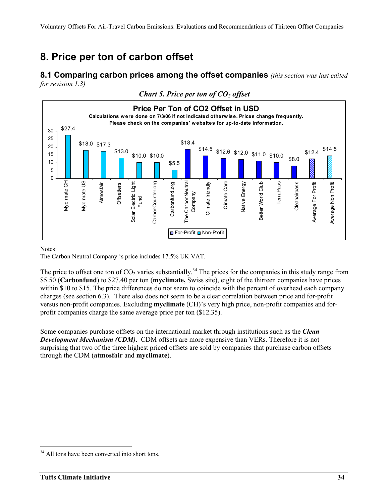## **8. Price per ton of carbon offset**

**8.1 Comparing carbon prices among the offset companies** *(this section was last edited for revision 1.3)*



*Chart 5. Price per ton of CO2 offset* 

Notes:

The Carbon Neutral Company 's price includes 17.5% UK VAT.

The price to offset one ton of  $CO<sub>2</sub>$  varies substantially.<sup>34</sup> The prices for the companies in this study range from \$5.50 (**Carbonfund**) to \$27.40 per ton (**myclimate,** Swiss site), eight of the thirteen companies have prices within \$10 to \$15. The price differences do not seem to coincide with the percent of overhead each company charges (see section 6.3). There also does not seem to be a clear correlation between price and for-profit versus non-profit companies. Excluding **myclimate** (CH)'s very high price, non-profit companies and forprofit companies charge the same average price per ton (\$12.35).

Some companies purchase offsets on the international market through institutions such as the *Clean Development Mechanism (CDM)*. CDM offsets are more expensive than VERs. Therefore it is not surprising that two of the three highest priced offsets are sold by companies that purchase carbon offsets through the CDM (**atmosfair** and **myclimate**).

<u>.</u>

<sup>&</sup>lt;sup>34</sup> All tons have been converted into short tons.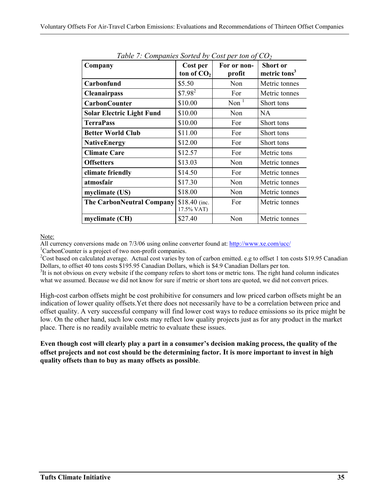| Tuble $\ell$ . Companies Soried by Cost per ton $\sigma_l$ CO <sub>2</sub> |                              |                       |                                             |
|----------------------------------------------------------------------------|------------------------------|-----------------------|---------------------------------------------|
| Company                                                                    | Cost per<br>ton of $CO2$     | For or non-<br>profit | <b>Short or</b><br>metric tons <sup>3</sup> |
| Carbonfund                                                                 | \$5.50                       | Non                   | Metric tonnes                               |
| <b>Cleanairpass</b>                                                        | $$7.98^2$                    | For                   | Metric tonnes                               |
| <b>CarbonCounter</b>                                                       | \$10.00                      | Non $1$               | Short tons                                  |
| <b>Solar Electric Light Fund</b>                                           | \$10.00                      | Non                   | NA                                          |
| <b>TerraPass</b>                                                           | \$10.00                      | For                   | Short tons                                  |
| <b>Better World Club</b>                                                   | \$11.00                      | For                   | Short tons                                  |
| <b>NativeEnergy</b>                                                        | \$12.00                      | For                   | Short tons                                  |
| <b>Climate Care</b>                                                        | \$12.57                      | For                   | Metric tons                                 |
| <b>Offsetters</b>                                                          | \$13.03                      | Non                   | Metric tonnes                               |
| climate friendly                                                           | \$14.50                      | For                   | Metric tonnes                               |
| atmosfair                                                                  | \$17.30                      | Non                   | Metric tonnes                               |
| myclimate (US)                                                             | \$18.00                      | Non                   | Metric tonnes                               |
| <b>The CarbonNeutral Company</b>                                           | $$18.40$ (inc.<br>17.5% VAT) | For                   | Metric tonnes                               |
| myclimate (CH)                                                             | \$27.40                      | Non                   | Metric tonnes                               |

*Table 7: Companies Sorted by Cost per ton of CO2*

Note:

All currency conversions made on 7/3/06 using online converter found at: http://www.xe.com/ucc/ <sup>1</sup>

<sup>1</sup>CarbonCounter is a project of two non-profit companies.

<sup>2</sup>Cost based on calculated average. Actual cost varies by ton of carbon emitted. e.g to offset 1 ton costs \$19.95 Canadian Dollars, to offset 40 tons costs \$195.95 Canadian Dollars, which is \$4.9 Canadian Dollars per ton.

 $3$ It is not obvious on every website if the company refers to short tons or metric tons. The right hand column indicates what we assumed. Because we did not know for sure if metric or short tons are quoted, we did not convert prices.

High-cost carbon offsets might be cost prohibitive for consumers and low priced carbon offsets might be an indication of lower quality offsets.Yet there does not necessarily have to be a correlation between price and offset quality. A very successful company will find lower cost ways to reduce emissions so its price might be low. On the other hand, such low costs may reflect low quality projects just as for any product in the market place. There is no readily available metric to evaluate these issues.

**Even though cost will clearly play a part in a consumer's decision making process, the quality of the offset projects and not cost should be the determining factor. It is more important to invest in high quality offsets than to buy as many offsets as possible**.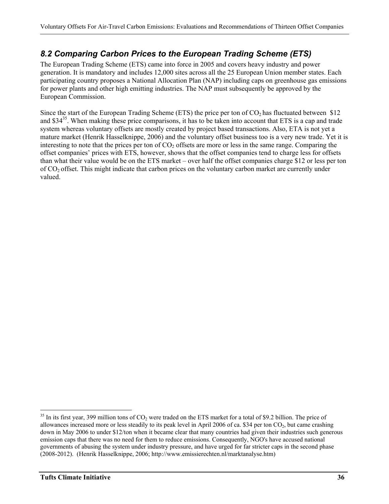## *8.2 Comparing Carbon Prices to the European Trading Scheme (ETS)*

The European Trading Scheme (ETS) came into force in 2005 and covers heavy industry and power generation. It is mandatory and includes 12,000 sites across all the 25 European Union member states. Each participating country proposes a National Allocation Plan (NAP) including caps on greenhouse gas emissions for power plants and other high emitting industries. The NAP must subsequently be approved by the European Commission.

Since the start of the European Trading Scheme (ETS) the price per ton of  $CO<sub>2</sub>$  has fluctuated between \$12 and  $\$34^{35}$ . When making these price comparisons, it has to be taken into account that ETS is a cap and trade system whereas voluntary offsets are mostly created by project based transactions. Also, ETA is not yet a mature market (Henrik Hasselknippe, 2006) and the voluntary offset business too is a very new trade. Yet it is interesting to note that the prices per ton of  $CO<sub>2</sub>$  offsets are more or less in the same range. Comparing the offset companies' prices with ETS, however, shows that the offset companies tend to charge less for offsets than what their value would be on the ETS market – over half the offset companies charge \$12 or less per ton of CO2 offset. This might indicate that carbon prices on the voluntary carbon market are currently under valued.

 $35$  In its first year, 399 million tons of CO<sub>2</sub> were traded on the ETS market for a total of \$9.2 billion. The price of allowances increased more or less steadily to its peak level in April 2006 of ca. \$34 per ton CO<sub>2</sub>, but came crashing down in May 2006 to under \$12/ton when it became clear that many countries had given their industries such generous emission caps that there was no need for them to reduce emissions. Consequently, NGO's have accused national governments of abusing the system under industry pressure, and have urged for far stricter caps in the second phase (2008-2012). (Henrik Hasselknippe, 2006; http://www.emissierechten.nl/marktanalyse.htm)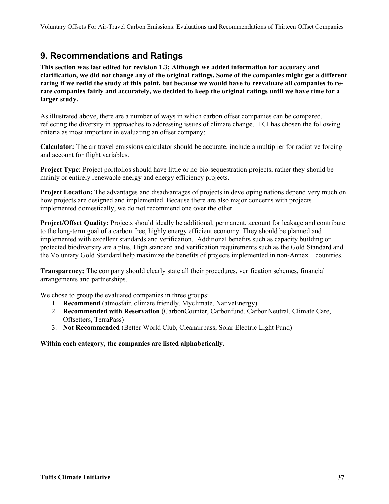## **9. Recommendations and Ratings**

**This section was last edited for revision 1.3; Although we added information for accuracy and clarification, we did not change any of the original ratings. Some of the companies might get a different rating if we redid the study at this point, but because we would have to reevaluate all companies to rerate companies fairly and accurately, we decided to keep the original ratings until we have time for a larger study.** 

As illustrated above, there are a number of ways in which carbon offset companies can be compared, reflecting the diversity in approaches to addressing issues of climate change. TCI has chosen the following criteria as most important in evaluating an offset company:

**Calculator:** The air travel emissions calculator should be accurate, include a multiplier for radiative forcing and account for flight variables.

**Project Type**: Project portfolios should have little or no bio-sequestration projects; rather they should be mainly or entirely renewable energy and energy efficiency projects.

**Project Location:** The advantages and disadvantages of projects in developing nations depend very much on how projects are designed and implemented. Because there are also major concerns with projects implemented domestically, we do not recommend one over the other.

**Project/Offset Quality:** Projects should ideally be additional, permanent, account for leakage and contribute to the long-term goal of a carbon free, highly energy efficient economy. They should be planned and implemented with excellent standards and verification. Additional benefits such as capacity building or protected biodiversity are a plus. High standard and verification requirements such as the Gold Standard and the Voluntary Gold Standard help maximize the benefits of projects implemented in non-Annex 1 countries.

**Transparency:** The company should clearly state all their procedures, verification schemes, financial arrangements and partnerships.

We chose to group the evaluated companies in three groups:

- 1. **Recommend** (atmosfair, climate friendly, Myclimate, NativeEnergy)
- 2. **Recommended with Reservation** (CarbonCounter, Carbonfund, CarbonNeutral, Climate Care, Offsetters, TerraPass)
- 3. **Not Recommended** (Better World Club, Cleanairpass, Solar Electric Light Fund)

**Within each category, the companies are listed alphabetically.**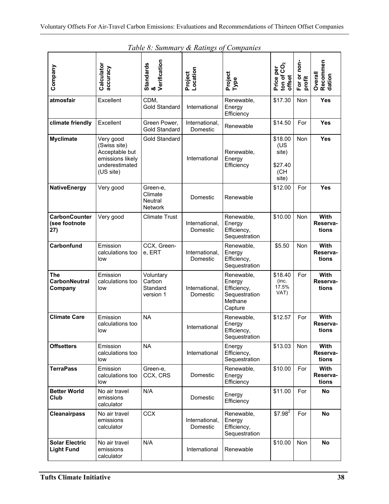|                                              |                                                                                                | Table 6. Summary & Ratings of Companies          |                            |                                                                            |                                                    |                       |                                  |
|----------------------------------------------|------------------------------------------------------------------------------------------------|--------------------------------------------------|----------------------------|----------------------------------------------------------------------------|----------------------------------------------------|-----------------------|----------------------------------|
| Company                                      | Calculator<br>accuracy                                                                         | Standards<br>&<br>Verification                   | Project<br>Location        | Project<br>Type                                                            | <b>CO</b><br>Price per<br>ton of<br>offset         | For or non-<br>profit | Recommen<br>Overall<br>dation    |
| atmosfair                                    | Excellent                                                                                      | CDM,<br><b>Gold Standard</b>                     | International              | Renewable,<br>Energy<br>Efficiency                                         | \$17.30                                            | Non                   | Yes                              |
| climate friendly                             | Excellent                                                                                      | Green Power,<br><b>Gold Standard</b>             | International,<br>Domestic | Renewable                                                                  | \$14.50                                            | For                   | <b>Yes</b>                       |
| <b>Myclimate</b>                             | Very good<br>(Swiss site)<br>Acceptable but<br>emissions likely<br>underestimated<br>(US site) | <b>Gold Standard</b>                             | International              | Renewable,<br>Energy<br>Efficiency                                         | \$18.00<br>(US<br>site)<br>\$27.40<br>(CH<br>site) | Non                   | Yes                              |
| NativeEnergy                                 | Very good                                                                                      | Green-e,<br>Climate<br><b>Neutral</b><br>Network | Domestic                   | Renewable                                                                  | \$12.00                                            | For                   | Yes                              |
| <b>CarbonCounter</b><br>(see footnote<br>27) | Very good                                                                                      | <b>Climate Trust</b>                             | International,<br>Domestic | Renewable,<br>Energy<br>Efficiency,<br>Sequestration                       | \$10.00                                            | <b>Non</b>            | With<br>Reserva-<br>tions        |
| Carbonfund                                   | Emission<br>calculations too<br>low                                                            | CCX, Green-<br>e, ERT                            | International,<br>Domestic | Renewable,<br>Energy<br>Efficiency,<br>Sequestration                       | \$5.50                                             | <b>Non</b>            | With<br>Reserva-<br>tions        |
| The<br><b>CarbonNeutral</b><br>Company       | Emission<br>calculations too<br>low                                                            | Voluntary<br>Carbon<br>Standard<br>version 1     | International,<br>Domestic | Renewable,<br>Energy<br>Efficiency,<br>Sequestration<br>Methane<br>Capture | \$18.40<br>(inc.<br>17.5%<br>VAT)                  | For                   | <b>With</b><br>Reserva-<br>tions |
| <b>Climate Care</b>                          | Emission<br>calculations too<br>low                                                            | <b>NA</b>                                        | International              | Renewable,<br>Energy<br>Efficiency,<br>Sequestration                       | \$12.57                                            | For                   | With<br>Reserva-<br>tions        |
| <b>Offsetters</b>                            | Emission<br>calculations too<br>low                                                            | <b>NA</b>                                        | International              | Energy<br>Efficiency,<br>Sequestration                                     | \$13.03                                            | Non                   | With<br>Reserva-<br>tions        |
| <b>TerraPass</b>                             | Emission<br>calculations too<br>low                                                            | Green-e,<br>CCX, CRS                             | Domestic                   | Renewable,<br>Energy<br>Efficiency                                         | \$10.00                                            | For                   | <b>With</b><br>Reserva-<br>tions |
| <b>Better World</b><br>Club                  | No air travel<br>emissions<br>calculator                                                       | N/A                                              | Domestic                   | Energy<br>Efficiency                                                       | \$11.00                                            | For                   | <b>No</b>                        |
| <b>Cleanairpass</b>                          | No air travel<br>emissions<br>calculator                                                       | <b>CCX</b>                                       | International,<br>Domestic | Renewable,<br>Energy<br>Efficiency,<br>Sequestration                       | \$7.98 <sup>2</sup>                                | For                   | <b>No</b>                        |
| <b>Solar Electric</b><br><b>Light Fund</b>   | No air travel<br>emissions<br>calculator                                                       | N/A                                              | International              | Renewable                                                                  | \$10.00                                            | Non                   | <b>No</b>                        |

*Table 8: Summary & Ratings of Companies*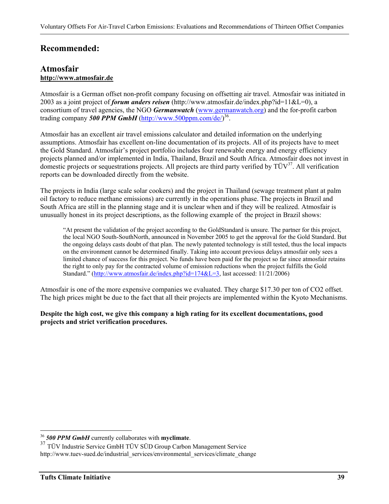## **Recommended:**

### **Atmosfair http://www.atmosfair.de**

Atmosfair is a German offset non-profit company focusing on offsetting air travel. Atmosfair was initiated in 2003 as a joint project of *forum anders reisen* (http://www.atmosfair.de/index.php?id=11&L=0), a consortium of travel agencies, the NGO *Germanwatch* (www.germanwatch.org) and the for-profit carbon trading company 500 PPM GmbH (http://www.500ppm.com/de/)<sup>36</sup>.

Atmosfair has an excellent air travel emissions calculator and detailed information on the underlying assumptions. Atmosfair has excellent on-line documentation of its projects. All of its projects have to meet the Gold Standard. Atmosfair's project portfolio includes four renewable energy and energy efficiency projects planned and/or implemented in India, Thailand, Brazil and South Africa. Atmosfair does not invest in domestic projects or sequestrations projects. All projects are third party verified by TÜV<sup>37</sup>. All verification reports can be downloaded directly from the website.

The projects in India (large scale solar cookers) and the project in Thailand (sewage treatment plant at palm oil factory to reduce methane emissions) are currently in the operations phase. The projects in Brazil and South Africa are still in the planning stage and it is unclear when and if they will be realized. Atmosfair is unusually honest in its project descriptions, as the following example of the project in Brazil shows:

"At present the validation of the project according to the GoldStandard is unsure. The partner for this project, the local NGO South-SouthNorth, announced in November 2005 to get the approval for the Gold Standard. But the ongoing delays casts doubt of that plan. The newly patented technology is still tested, thus the local impacts on the environment cannot be determined finally. Taking into account previous delays atmosfair only sees a limited chance of success for this project. No funds have been paid for the project so far since atmosfair retains the right to only pay for the contracted volume of emission reductions when the project fulfills the Gold Standard." (http://www.atmosfair.de/index.php?id=174&L=3, last accessed: 11/21/2006)

Atmosfair is one of the more expensive companies we evaluated. They charge \$17.30 per ton of CO2 offset. The high prices might be due to the fact that all their projects are implemented within the Kyoto Mechanisms.

### **Despite the high cost, we give this company a high rating for its excellent documentations, good projects and strict verification procedures.**

<sup>&</sup>lt;sup>36</sup> 500 PPM GmbH currently collaborates with myclimate.

<sup>&</sup>lt;sup>37</sup> TÜV Industrie Service GmbH TÜV SÜD Group Carbon Management Service http://www.tuev-sued.de/industrial\_services/environmental\_services/climate\_change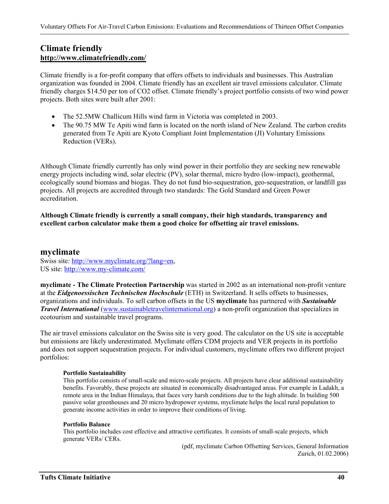### **Climate friendly http://www.climatefriendly.com/**

Climate friendly is a for-profit company that offers offsets to individuals and businesses. This Australian organization was founded in 2004. Climate friendly has an excellent air travel emissions calculator. Climate friendly charges \$14.50 per ton of CO2 offset. Climate friendly's project portfolio consists of two wind power projects. Both sites were built after 2001:

- The 52.5MW Challicum Hills wind farm in Victoria was completed in 2003.
- The 90.75 MW Te Apiti wind farm is located on the north island of New Zealand. The carbon credits generated from Te Apiti are Kyoto Compliant Joint Implementation (JI) Voluntary Emissions Reduction (VERs).

Although Climate friendly currently has only wind power in their portfolio they are seeking new renewable energy projects including wind, solar electric (PV), solar thermal, micro hydro (low-impact), geothermal, ecologically sound biomass and biogas. They do not fund bio-sequestration, geo-sequestration, or landfill gas projects. All projects are accredited through two standards: The Gold Standard and Green Power accreditation.

**Although Climate friendly is currently a small company, their high standards, transparency and excellent carbon calculator make them a good choice for offsetting air travel emissions.** 

### **myclimate**

Swiss site: http://www.myclimate.org/?lang=en, US site: http://www.my-climate.com/

**myclimate - The Climate Protection Partnership** was started in 2002 as an international non-profit venture at the *Eidgenoessischen Technischen Hochschule* (ETH) in Switzerland. It sells offsets to businesses, organizations and individuals. To sell carbon offsets in the US **myclimate** has partnered with *Sustainable Travel International* (www.sustainabletravelinternational.org) a non-profit organization that specializes in ecotourism and sustainable travel programs.

The air travel emissions calculator on the Swiss site is very good. The calculator on the US site is acceptable but emissions are likely underestimated. Myclimate offers CDM projects and VER projects in its portfolio and does not support sequestration projects. For individual customers, myclimate offers two different project portfolios:

#### **Portfolio Sustainability**

This portfolio consists of small-scale and micro-scale projects. All projects have clear additional sustainability benefits. Favorably, these projects are situated in economically disadvantaged areas. For example in Ladakh, a remote area in the Indian Himalaya, that faces very harsh conditions due to the high altitude. In building 500 passive solar greenhouses and 20 micro hydropower systems, myclimate helps the local rural population to generate income activities in order to improve their conditions of living.

#### **Portfolio Balance**

This portfolio includes cost effective and attractive certificates. It consists of small-scale projects, which generate VERs/ CERs.

(pdf, myclimate Carbon Offsetting Services, General Information Zurich, 01.02.2006)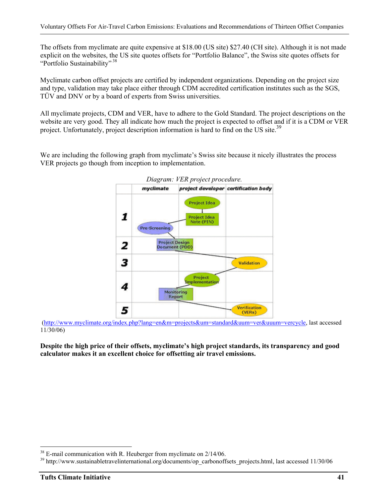The offsets from myclimate are quite expensive at \$18.00 (US site) \$27.40 (CH site). Although it is not made explicit on the websites, the US site quotes offsets for "Portfolio Balance", the Swiss site quotes offsets for "Portfolio Sustainability"<sup>38</sup>

Myclimate carbon offset projects are certified by independent organizations. Depending on the project size and type, validation may take place either through CDM accredited certification institutes such as the SGS, TÜV and DNV or by a board of experts from Swiss universities.

All myclimate projects, CDM and VER, have to adhere to the Gold Standard. The project descriptions on the website are very good. They all indicate how much the project is expected to offset and if it is a CDM or VER project. Unfortunately, project description information is hard to find on the US site.<sup>39</sup>

We are including the following graph from myclimate's Swiss site because it nicely illustrates the process VER projects go though from inception to implementation.



 (http://www.myclimate.org/index.php?lang=en&m=projects&um=standard&uum=ver&uuum=vercycle, last accessed 11/30/06)

**Despite the high price of their offsets, myclimate's high project standards, its transparency and good calculator makes it an excellent choice for offsetting air travel emissions.** 

<u>.</u>

<sup>&</sup>lt;sup>38</sup> E-mail communication with R. Heuberger from myclimate on 2/14/06.

<sup>&</sup>lt;sup>39</sup> http://www.sustainabletravelinternational.org/documents/op\_carbonoffsets\_projects.html, last accessed 11/30/06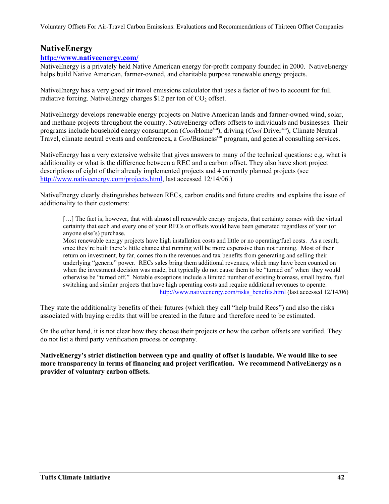## **NativeEnergy**

### **http://www.nativeenergy.com/**

NativeEnergy is a privately held Native American energy for-profit company founded in 2000. NativeEnergy helps build Native American, farmer-owned, and charitable purpose renewable energy projects.

NativeEnergy has a very good air travel emissions calculator that uses a factor of two to account for full radiative forcing. NativeEnergy charges  $$12$  per ton of  $CO<sub>2</sub>$  offset.

NativeEnergy develops renewable energy projects on Native American lands and farmer-owned wind, solar, and methane projects throughout the country. NativeEnergy offers offsets to individuals and businesses. Their programs include household energy consumption (*Cool*Homesm), driving (*Cool* Driversm), Climate Neutral Travel, climate neutral events and conferences, a *Cool*Business<sup>sm</sup> program, and general consulting services.

NativeEnergy has a very extensive website that gives answers to many of the technical questions: e.g. what is additionality or what is the difference between a REC and a carbon offset. They also have short project descriptions of eight of their already implemented projects and 4 currently planned projects (see http://www.nativeenergy.com/projects.html, last accessed 12/14/06.)

NativeEnergy clearly distinguishes between RECs, carbon credits and future credits and explains the issue of additionality to their customers:

[...] The fact is, however, that with almost all renewable energy projects, that certainty comes with the virtual certainty that each and every one of your RECs or offsets would have been generated regardless of your (or anyone else's) purchase.

Most renewable energy projects have high installation costs and little or no operating/fuel costs. As a result, once they're built there's little chance that running will be more expensive than not running. Most of their return on investment, by far, comes from the revenues and tax benefits from generating and selling their underlying "generic" power. RECs sales bring them additional revenues, which may have been counted on when the investment decision was made, but typically do not cause them to be "turned on" when they would otherwise be "turned off." Notable exceptions include a limited number of existing biomass, small hydro, fuel switching and similar projects that have high operating costs and require additional revenues to operate. http://www.nativeenergy.com/risks\_benefits.html (last accessed 12/14/06)

They state the additionality benefits of their futures (which they call "help build Recs") and also the risks associated with buying credits that will be created in the future and therefore need to be estimated.

On the other hand, it is not clear how they choose their projects or how the carbon offsets are verified. They do not list a third party verification process or company.

**NativeEnergy's strict distinction between type and quality of offset is laudable. We would like to see more transparency in terms of financing and project verification. We recommend NativeEnergy as a provider of voluntary carbon offsets.**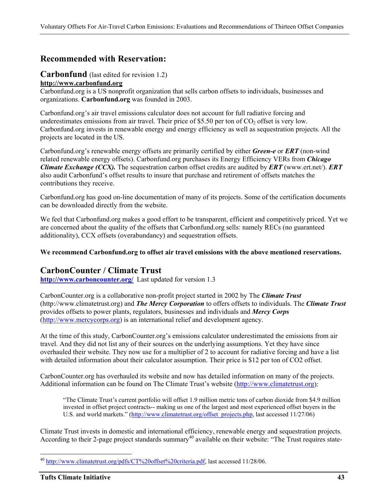## **Recommended with Reservation:**

### **Carbonfund** (last edited for revision 1.2)

**http://www.carbonfund.org**

Carbonfund.org is a US nonprofit organization that sells carbon offsets to individuals, businesses and organizations. **Carbonfund.org** was founded in 2003.

Carbonfund.org's air travel emissions calculator does not account for full radiative forcing and underestimates emissions from air travel. Their price of \$5.50 per ton of  $CO<sub>2</sub>$  offset is very low. Carbonfund.org invests in renewable energy and energy efficiency as well as sequestration projects. All the projects are located in the US.

Carbonfund.org's renewable energy offsets are primarily certified by either *Green-e* or *ERT* (non-wind related renewable energy offsets). Carbonfund.org purchases its Energy Efficiency VERs from *Chicago Climate Exchange (CCX).* The sequestration carbon offset credits are audited by *ERT* (www.ert.net/). *ERT* also audit Carbonfund's offset results to insure that purchase and retirement of offsets matches the contributions they receive.

Carbonfund.org has good on-line documentation of many of its projects. Some of the certification documents can be downloaded directly from the website.

We feel that Carbonfund.org makes a good effort to be transparent, efficient and competitively priced. Yet we are concerned about the quality of the offsets that Carbonfund.org sells: namely RECs (no guaranteed additionality), CCX offsets (overabundancy) and sequestration offsets.

### **We recommend Carbonfund.org to offset air travel emissions with the above mentioned reservations.**

## **CarbonCounter / Climate Trust**

**http://www.carboncounter.org/** Last updated for version 1.3

CarbonCounter.org is a collaborative non-profit project started in 2002 by The *Climate Trust* (http://www.climatetrust.org) and *The Mercy Corporation* to offers offsets to individuals. The *Climate Trust* provides offsets to power plants, regulators, businesses and individuals and *Mercy Corps* (http://www.mercycorps.org) is an international relief and development agency.

At the time of this study, CarbonCounter.org's emissions calculator underestimated the emissions from air travel. And they did not list any of their sources on the underlying assumptions. Yet they have since overhauled their website. They now use for a multiplier of 2 to account for radiative forcing and have a list with detailed information about their calculator assumption. Their price is \$12 per ton of CO2 offset.

CarbonCounter.org has overhauled its website and now has detailed information on many of the projects. Additional information can be found on The Climate Trust's website (http://www.climatetrust.org):

"The Climate Trust's current portfolio will offset 1.9 million metric tons of carbon dioxide from \$4.9 million invested in offset project contracts-- making us one of the largest and most experienced offset buyers in the U.S. and world markets." (http://www.climatetrust.org/offset\_projects.php, last accessed 11/27/06)

Climate Trust invests in domestic and international efficiency, renewable energy and sequestration projects. According to their 2-page project standards summary<sup>40</sup> available on their website: "The Trust requires state-

<sup>&</sup>lt;sup>40</sup> http://www.climatetrust.org/pdfs/CT%20offset%20criteria.pdf, last accessed 11/28/06.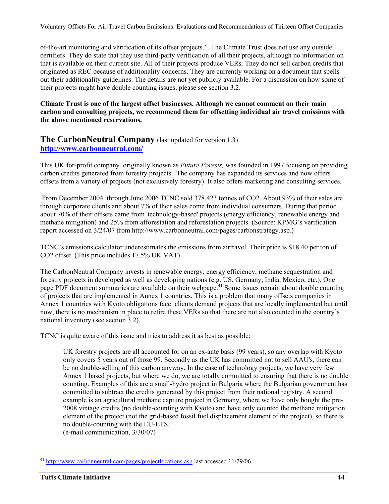of-the-art monitoring and verification of its offset projects." The Climate Trust does not use any outside certifiers. They do state that they use third-party verification of all their projects, although no information on that is available on their current site. All of their projects produce VERs. They do not sell carbon credits that originated as REC because of additionality concerns. They are currently working on a document that spells out their additionality guidelines. The details are not yet publicly available. For a discussion on how some of their projects might have double counting issues, please see section 3.2.

**Climate Trust is one of the largest offset businesses. Although we cannot comment on their main carbon and consulting projects, we recommend them for offsetting individual air travel emissions with the above mentioned reservations.** 

### **The CarbonNeutral Company** (last updated for version 1.3) **http://www.carbonneutral.com/**

This UK for-profit company, originally known as *Future Forests,* was founded in 1997 focusing on providing carbon credits generated from forestry projects. The company has expanded its services and now offers offsets from a variety of projects (not exclusively forestry). It also offers marketing and consulting services.

 From December 2004 through June 2006 TCNC sold 378,423 tonnes of CO2. About 93% of their sales are through corporate clients and about 7% of their sales come from individual consumers. During that period about 70% of their offsets came from 'technology-based' projects (energy efficiency, renewable energy and methane mitigation) and 25% from afforestation and reforestation projects. (Source: KPMG's verification report accessed on 3/24/07 from http://www.carbonneutral.com/pages/carbonstrategy.asp.)

TCNC's emissions calculator underestimates the emissions from airtravel. Their price is \$18.40 per ton of CO2 offset. (This price includes 17.5% UK VAT).

The CarbonNeutral Company invests in renewable energy, energy efficiency, methane sequestration and forestry projects in developed as well as developing nations (e.g. US, Germany, India, Mexico, etc.). One page PDF document summaries are available on their webpage.<sup>41</sup> Some issues remain about double counting of projects that are implemented in Annex 1 countries. This is a problem that many offsets companies in Annex 1 countries with Kyoto obligations face: clients demand projects that are locally implemented but until now, there is no mechanism in place to retire these VERs so that there are not also counted in the country's national inventory (see section 3.2).

TCNC is quite aware of this issue and tries to address it as best as possible:

UK forestry projects are all accounted for on an ex-ante basis (99 years), so any overlap with Kyoto only covers 5 years out of those 99. Secondly as the UK has committed not to sell AAU's, there can be no double-selling of this carbon anyway. In the case of technology projects, we have very few Annex 1 based projects, but where we do, we are totally committed to ensuring that there is no double counting. Examples of this are a small-hydro project in Bulgaria where the Bulgarian government has committed to subtract the credits generated by this project from their national registry. A second example is an agricultural methane capture project in Germany, where we have only bought the pre-2008 vintage credits (no double-counting with Kyoto) and have only counted the methane mitigation element of the project (not the grid-based fossil fuel displacement element of the project), so there is no double-counting with the EU-ETS.

(e-mail communication, 3/30/07)

http://www.carbonneutral.com/pages/projectlocations.asp last accessed 11/29/06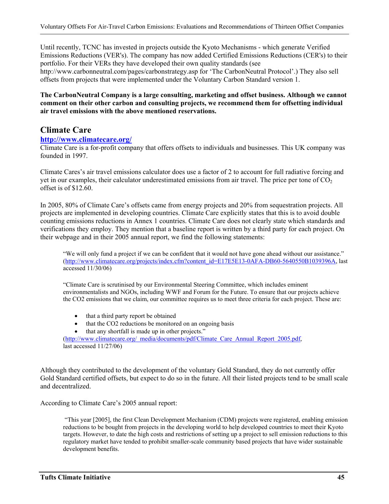Until recently, TCNC has invested in projects outside the Kyoto Mechanisms - which generate Verified Emissions Reductions (VER's). The company has now added Certified Emissions Reductions (CER's) to their portfolio. For their VERs they have developed their own quality standards (see http://www.carbonneutral.com/pages/carbonstrategy.asp for 'The CarbonNeutral Protocol'.) They also sell offsets from projects that were implemented under the Voluntary Carbon Standard version 1.

### **The CarbonNeutral Company is a large consulting, marketing and offset business. Although we cannot comment on their other carbon and consulting projects, we recommend them for offsetting individual air travel emissions with the above mentioned reservations.**

### **Climate Care**

### **http://www.climatecare.org/**

Climate Care is a for-profit company that offers offsets to individuals and businesses. This UK company was founded in 1997.

Climate Cares's air travel emissions calculator does use a factor of 2 to account for full radiative forcing and yet in our examples, their calculator underestimated emissions from air travel. The price per tone of  $CO<sub>2</sub>$ offset is of \$12.60.

In 2005, 80% of Climate Care's offsets came from energy projects and 20% from sequestration projects. All projects are implemented in developing countries. Climate Care explicitly states that this is to avoid double counting emissions reductions in Annex 1 countries. Climate Care does not clearly state which standards and verifications they employ. They mention that a baseline report is written by a third party for each project. On their webpage and in their 2005 annual report, we find the following statements:

"We will only fund a project if we can be confident that it would not have gone ahead without our assistance." (http://www.climatecare.org/projects/index.cfm?content\_id=E17E5E13-0AFA-DB60-5640550B1039396A, last accessed 11/30/06)

"Climate Care is scrutinised by our Environmental Steering Committee, which includes eminent environmentalists and NGOs, including WWF and Forum for the Future. To ensure that our projects achieve the CO2 emissions that we claim, our committee requires us to meet three criteria for each project. These are:

- that a third party report be obtained
- that the CO2 reductions be monitored on an ongoing basis
- that any shortfall is made up in other projects."

(http://www.climatecare.org/\_media/documents/pdf/Climate\_Care\_Annual\_Report\_2005.pdf, last accessed 11/27/06)

Although they contributed to the development of the voluntary Gold Standard, they do not currently offer Gold Standard certified offsets, but expect to do so in the future. All their listed projects tend to be small scale and decentralized.

According to Climate Care's 2005 annual report:

 "This year [2005], the first Clean Development Mechanism (CDM) projects were registered, enabling emission reductions to be bought from projects in the developing world to help developed countries to meet their Kyoto targets. However, to date the high costs and restrictions of setting up a project to sell emission reductions to this regulatory market have tended to prohibit smaller-scale community based projects that have wider sustainable development benefits.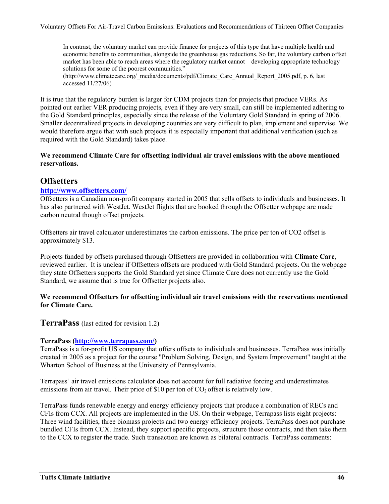In contrast, the voluntary market can provide finance for projects of this type that have multiple health and economic benefits to communities, alongside the greenhouse gas reductions. So far, the voluntary carbon offset market has been able to reach areas where the regulatory market cannot – developing appropriate technology solutions for some of the poorest communities."

(http://www.climatecare.org/\_media/documents/pdf/Climate\_Care\_Annual\_Report\_2005.pdf, p. 6, last accessed 11/27/06)

It is true that the regulatory burden is larger for CDM projects than for projects that produce VERs. As pointed out earlier VER producing projects, even if they are very small, can still be implemented adhering to the Gold Standard principles, especially since the release of the Voluntary Gold Standard in spring of 2006. Smaller decentralized projects in developing countries are very difficult to plan, implement and supervise. We would therefore argue that with such projects it is especially important that additional verification (such as required with the Gold Standard) takes place.

#### **We recommend Climate Care for offsetting individual air travel emissions with the above mentioned reservations.**

### **Offsetters**

### **http://www.offsetters.com/**

Offsetters is a Canadian non-profit company started in 2005 that sells offsets to individuals and businesses. It has also partnered with WestJet. WestJet flights that are booked through the Offsetter webpage are made carbon neutral though offset projects.

Offsetters air travel calculator underestimates the carbon emissions. The price per ton of CO2 offset is approximately \$13.

Projects funded by offsets purchased through Offsetters are provided in collaboration with **Climate Care**, reviewed earlier. It is unclear if Offsetters offsets are produced with Gold Standard projects. On the webpage they state Offsetters supports the Gold Standard yet since Climate Care does not currently use the Gold Standard, we assume that is true for Offsetter projects also.

### **We recommend Offsetters for offsetting individual air travel emissions with the reservations mentioned for Climate Care.**

**TerraPass** (last edited for revision 1.2)

### **TerraPass (http://www.terrapass.com/)**

TerraPass is a for-profit US company that offers offsets to individuals and businesses. TerraPass was initially created in 2005 as a project for the course "Problem Solving, Design, and System Improvement" taught at the Wharton School of Business at the University of Pennsylvania.

Terrapass' air travel emissions calculator does not account for full radiative forcing and underestimates emissions from air travel. Their price of \$10 per ton of  $CO<sub>2</sub>$  offset is relatively low.

TerraPass funds renewable energy and energy efficiency projects that produce a combination of RECs and CFIs from CCX. All projects are implemented in the US. On their webpage, Terrapass lists eight projects: Three wind facilities, three biomass projects and two energy efficiency projects. TerraPass does not purchase bundled CFIs from CCX. Instead, they support specific projects, structure those contracts, and then take them to the CCX to register the trade. Such transaction are known as bilateral contracts. TerraPass comments: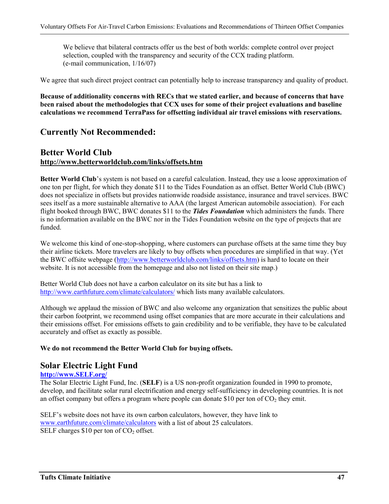We believe that bilateral contracts offer us the best of both worlds: complete control over project selection, coupled with the transparency and security of the CCX trading platform. (e-mail communication, 1/16/07)

We agree that such direct project contract can potentially help to increase transparency and quality of product.

**Because of additionality concerns with RECs that we stated earlier, and because of concerns that have been raised about the methodologies that CCX uses for some of their project evaluations and baseline calculations we recommend TerraPass for offsetting individual air travel emissions with reservations.** 

## **Currently Not Recommended:**

### **Better World Club http://www.betterworldclub.com/links/offsets.htm**

**Better World Club**'s system is not based on a careful calculation. Instead, they use a loose approximation of one ton per flight, for which they donate \$11 to the Tides Foundation as an offset. Better World Club (BWC) does not specialize in offsets but provides nationwide roadside assistance, insurance and travel services. BWC sees itself as a more sustainable alternative to AAA (the largest American automobile association). For each flight booked through BWC, BWC donates \$11 to the *Tides Foundation* which administers the funds. There is no information available on the BWC nor in the Tides Foundation website on the type of projects that are funded.

We welcome this kind of one-stop-shopping, where customers can purchase offsets at the same time they buy their airline tickets. More travelers are likely to buy offsets when procedures are simplified in that way. (Yet the BWC offsite webpage (http://www.betterworldclub.com/links/offsets.htm) is hard to locate on their website. It is not accessible from the homepage and also not listed on their site map.)

Better World Club does not have a carbon calculator on its site but has a link to http://www.earthfuture.com/climate/calculators/ which lists many available calculators.

Although we applaud the mission of BWC and also welcome any organization that sensitizes the public about their carbon footprint, we recommend using offset companies that are more accurate in their calculations and their emissions offset. For emissions offsets to gain credibility and to be verifiable, they have to be calculated accurately and offset as exactly as possible.

### **We do not recommend the Better World Club for buying offsets.**

### **Solar Electric Light Fund**

### **http://www.SELF.org/**

The Solar Electric Light Fund, Inc. (**SELF**) is a US non-profit organization founded in 1990 to promote, develop, and facilitate solar rural electrification and energy self-sufficiency in developing countries. It is not an offset company but offers a program where people can donate \$10 per ton of  $CO<sub>2</sub>$  they emit.

SELF's website does not have its own carbon calculators, however, they have link to www.earthfuture.com/climate/calculators with a list of about 25 calculators. SELF charges  $$10$  per ton of  $CO<sub>2</sub>$  offset.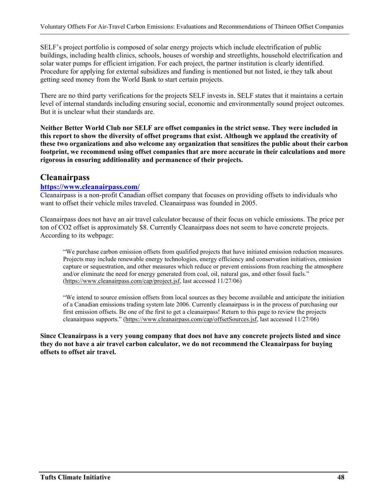SELF's project portfolio is composed of solar energy projects which include electrification of public buildings, including health clinics, schools, houses of worship and streetlights, household electrification and solar water pumps for efficient irrigation. For each project, the partner institution is clearly identified. Procedure for applying for external subsidizes and funding is mentioned but not listed, ie they talk about getting seed money from the World Bank to start certain projects.

There are no third party verifications for the projects SELF invests in. SELF states that it maintains a certain level of internal standards including ensuring social, economic and environmentally sound project outcomes. But it is unclear what their standards are.

**Neither Better World Club nor SELF are offset companies in the strict sense. They were included in this report to show the diversity of offset programs that exist. Although we applaud the creativity of these two organizations and also welcome any organization that sensitizes the public about their carbon footprint, we recommend using offset companies that are more accurate in their calculations and more rigorous in ensuring additionality and permanence of their projects.** 

## **Cleanairpass**

### **https://www.cleanairpass.com/**

Cleanairpass is a non-profit Canadian offset company that focuses on providing offsets to individuals who want to offset their vehicle miles traveled. Cleanairpass was founded in 2005.

Cleanairpass does not have an air travel calculator because of their focus on vehicle emissions. The price per ton of CO2 offset is approximately \$8. Currently Cleanairpass does not seem to have concrete projects. According to its webpage:

"We purchase carbon emission offsets from qualified projects that have initiated emission reduction measures. Projects may include renewable energy technologies, energy efficiency and conservation initiatives, emission capture or sequestration, and other measures which reduce or prevent emissions from reaching the atmosphere and/or eliminate the need for energy generated from coal, oil, natural gas, and other fossil fuels." (https://www.cleanairpass.com/cap/project.jsf, last accessed 11/27/06)

"We intend to source emission offsets from local sources as they become available and anticipate the initiation of a Canadian emissions trading system late 2006. Currently cleanairpass is in the process of purchasing our first emission offsets. Be one of the first to get a cleanairpass! Return to this page to review the projects cleanairpass supports." (https://www.cleanairpass.com/cap/offsetSources.jsf, last accessed 11/27/06)

**Since Cleanairpass is a very young company that does not have any concrete projects listed and since they do not have a air travel carbon calculator, we do not recommend the Cleanairpass for buying offsets to offset air travel.**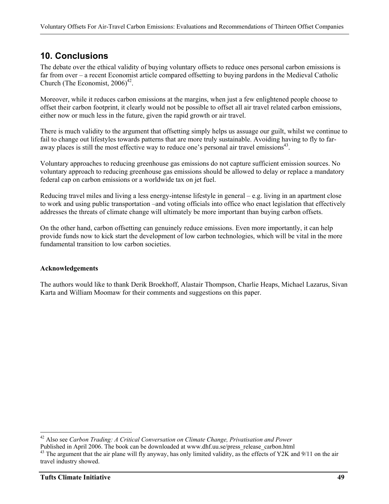## **10. Conclusions**

The debate over the ethical validity of buying voluntary offsets to reduce ones personal carbon emissions is far from over – a recent Economist article compared offsetting to buying pardons in the Medieval Catholic Church (The Economist,  $2006<sup>42</sup>$ ).

Moreover, while it reduces carbon emissions at the margins, when just a few enlightened people choose to offset their carbon footprint, it clearly would not be possible to offset all air travel related carbon emissions, either now or much less in the future, given the rapid growth or air travel.

There is much validity to the argument that offsetting simply helps us assuage our guilt, whilst we continue to fail to change out lifestyles towards patterns that are more truly sustainable. Avoiding having to fly to faraway places is still the most effective way to reduce one's personal air travel emissions<sup>43</sup>.

Voluntary approaches to reducing greenhouse gas emissions do not capture sufficient emission sources. No voluntary approach to reducing greenhouse gas emissions should be allowed to delay or replace a mandatory federal cap on carbon emissions or a worldwide tax on jet fuel.

Reducing travel miles and living a less energy-intense lifestyle in general – e.g. living in an apartment close to work and using public transportation –and voting officials into office who enact legislation that effectively addresses the threats of climate change will ultimately be more important than buying carbon offsets.

On the other hand, carbon offsetting can genuinely reduce emissions. Even more importantly, it can help provide funds now to kick start the development of low carbon technologies, which will be vital in the more fundamental transition to low carbon societies.

### **Acknowledgements**

The authors would like to thank Derik Broekhoff, Alastair Thompson, Charlie Heaps, Michael Lazarus, Sivan Karta and William Moomaw for their comments and suggestions on this paper.

<sup>1</sup> 42 Also see *Carbon Trading: A Critical Conversation on Climate Change, Privatisation and Power* Published in April 2006. The book can be downloaded at www.dhf.uu.se/press\_release\_carbon.html

 $43$  The argument that the air plane will fly anyway, has only limited validity, as the effects of Y2K and  $9/11$  on the air travel industry showed.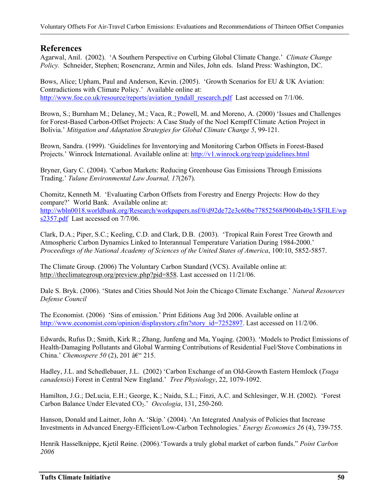### **References**

Agarwal, Anil. (2002). 'A Southern Perspective on Curbing Global Climate Change.' *Climate Change Policy.* Schneider, Stephen; Rosencranz, Armin and Niles, John eds. Island Press: Washington, DC.

Bows, Alice; Upham, Paul and Anderson, Kevin. (2005). 'Growth Scenarios for EU & UK Aviation: Contradictions with Climate Policy.' Available online at: http://www.foe.co.uk/resource/reports/aviation\_tyndall\_research.pdf Last accessed on 7/1/06.

Brown, S.; Burnham M.; Delaney, M.; Vaca, R.; Powell, M. and Moreno, A. (2000) 'Issues and Challenges for Forest-Based Carbon-Offset Projects: A Case Study of the Noel Kempff Climate Action Project in Bolivia.' *Mitigation and Adaptation Strategies for Global Climate Change 5*, 99-121.

Brown, Sandra. (1999). 'Guidelines for Inventorying and Monitoring Carbon Offsets in Forest-Based Projects.' Winrock International. Available online at: http://v1.winrock.org/reep/guidelines.html

Bryner, Gary C. (2004). 'Carbon Markets: Reducing Greenhouse Gas Emissions Through Emissions Trading.' *Tulane Environmental Law Journal, 17*(267).

Chomitz, Kenneth M. 'Evaluating Carbon Offsets from Forestry and Energy Projects: How do they compare?' World Bank. Available online at: http://wbln0018.worldbank.org/Research/workpapers.nsf/0/d92de72e3c60be77852568f9004b40e3/\$FILE/wp s2357.pdf Last accessed on 7/7/06.

Clark, D.A.; Piper, S.C.; Keeling, C.D. and Clark, D.B. (2003). 'Tropical Rain Forest Tree Growth and Atmospheric Carbon Dynamics Linked to Interannual Temperature Variation During 1984-2000.' *Proceedings of the National Academy of Sciences of the United States of America*, 100:10, 5852-5857.

The Climate Group. (2006) The Voluntary Carbon Standard (VCS). Available online at: http://theclimategroup.org/preview.php?pid=858. Last accessed on 11/21/06.

Dale S. Bryk. (2006). 'States and Cities Should Not Join the Chicago Climate Exchange.' *Natural Resources Defense Council*

The Economist. (2006) 'Sins of emission.' Print Editions Aug 3rd 2006. Available online at http://www.economist.com/opinion/displaystory.cfm?story\_id=7252897. Last accessed on 11/2/06.

Edwards, Rufus D.; Smith, Kirk R.; Zhang, Junfeng and Ma, Yuqing. (2003). 'Models to Predict Emissions of Health-Damaging Pollutants and Global Warming Contributions of Residential Fuel/Stove Combinations in China.' *Chemospere 50* (2), 201 – 215.

Hadley, J.L. and Schedlebauer, J.L. (2002) 'Carbon Exchange of an Old-Growth Eastern Hemlock (*Tsuga canadensis*) Forest in Central New England.' *Tree Physiology*, 22, 1079-1092.

Hamilton, J.G.; DeLucia, E.H.; George, K.; Naidu, S.L.; Finzi, A.C. and Schlesinger, W.H. (2002). 'Forest Carbon Balance Under Elevated CO<sub>2</sub>.' *Oecologia*, 131, 250-260.

Hanson, Donald and Laitner, John A. 'Skip.' (2004). 'An Integrated Analysis of Policies that Increase Investments in Advanced Energy-Efficient/Low-Carbon Technologies.' *Energy Economics 26* (4), 739-755.

Henrik Hasselknippe, Kjetil Røine. (2006).'Towards a truly global market of carbon funds." *Point Carbon 2006*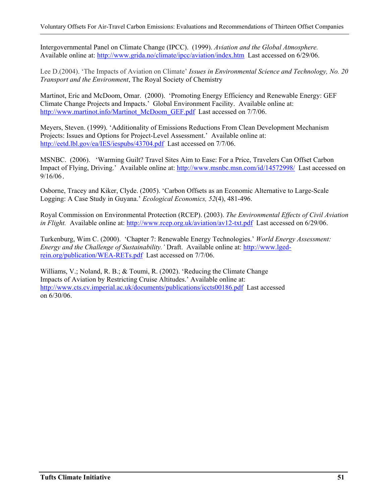Intergovernmental Panel on Climate Change (IPCC). (1999). *Aviation and the Global Atmosphere.* Available online at: http://www.grida.no/climate/ipcc/aviation/index.htm Last accessed on 6/29/06.

Lee D.(2004). 'The Impacts of Aviation on Climate' *Issues in Environmental Science and Technology, No. 20 Transport and the Environment*, The Royal Society of Chemistry

Martinot, Eric and McDoom, Omar. (2000). 'Promoting Energy Efficiency and Renewable Energy: GEF Climate Change Projects and Impacts.' Global Environment Facility. Available online at: http://www.martinot.info/Martinot\_McDoom\_GEF.pdf Last accessed on 7/7/06.

Meyers, Steven. (1999). 'Additionality of Emissions Reductions From Clean Development Mechanism Projects: Issues and Options for Project-Level Assessment.' Available online at: http://eetd.lbl.gov/ea/IES/iespubs/43704.pdf Last accessed on 7/7/06.

MSNBC. (2006). 'Warming Guilt? Travel Sites Aim to Ease: For a Price, Travelers Can Offset Carbon Impact of Flying, Driving.' Available online at: http://www.msnbc.msn.com/id/14572998/ Last accessed on 9/16/06.

Osborne, Tracey and Kiker, Clyde. (2005). 'Carbon Offsets as an Economic Alternative to Large-Scale Logging: A Case Study in Guyana.' *Ecological Economics, 52*(4), 481-496.

Royal Commission on Environmental Protection (RCEP). (2003). *The Environmental Effects of Civil Aviation in Flight.* Available online at: http://www.rcep.org.uk/aviation/av12-txt.pdf Last accessed on 6/29/06.

Turkenburg, Wim C. (2000). 'Chapter 7: Renewable Energy Technologies.' *World Energy Assessment: Energy and the Challenge of Sustainability.'* Draft. Available online at: http://www.lgedrein.org/publication/WEA-RETs.pdf Last accessed on 7/7/06.

Williams, V.; Noland, R. B.; & Toumi, R. (2002). 'Reducing the Climate Change Impacts of Aviation by Restricting Cruise Altitudes.' Available online at: http://www.cts.cv.imperial.ac.uk/documents/publications/iccts00186.pdf Last accessed on 6/30/06.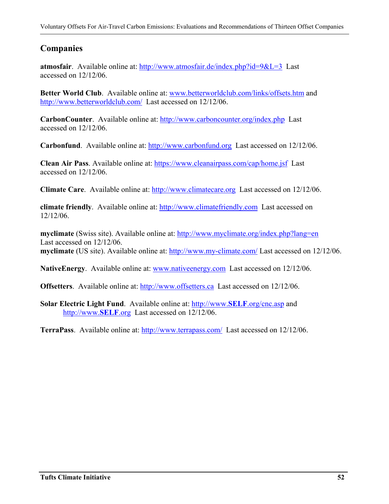## **Companies**

**atmosfair**. Available online at: http://www.atmosfair.de/index.php?id=9&L=3 Last accessed on 12/12/06.

**Better World Club**. Available online at: www.betterworldclub.com/links/offsets.htm and http://www.betterworldclub.com/ Last accessed on 12/12/06.

**CarbonCounter**. Available online at: http://www.carboncounter.org/index.php Last accessed on 12/12/06.

**Carbonfund**. Available online at: http://www.carbonfund.org Last accessed on 12/12/06.

**Clean Air Pass**. Available online at: https://www.cleanairpass.com/cap/home.jsf Last accessed on 12/12/06.

**Climate Care**. Available online at: http://www.climatecare.org Last accessed on 12/12/06.

**climate friendly**. Available online at: http://www.climatefriendly.com Last accessed on 12/12/06.

**myclimate** (Swiss site). Available online at: http://www.myclimate.org/index.php?lang=en Last accessed on 12/12/06.

**myclimate** (US site). Available online at: http://www.my-climate.com/ Last accessed on 12/12/06.

**NativeEnergy**. Available online at: www.nativeenergy.com Last accessed on 12/12/06.

**Offsetters**. Available online at: http://www.offsetters.ca Last accessed on 12/12/06.

**Solar Electric Light Fund**. Available online at: http://www.**SELF**.org/cnc.asp and http://www.**SELF**.orgLast accessed on 12/12/06.

**TerraPass**. Available online at: http://www.terrapass.com/ Last accessed on 12/12/06.